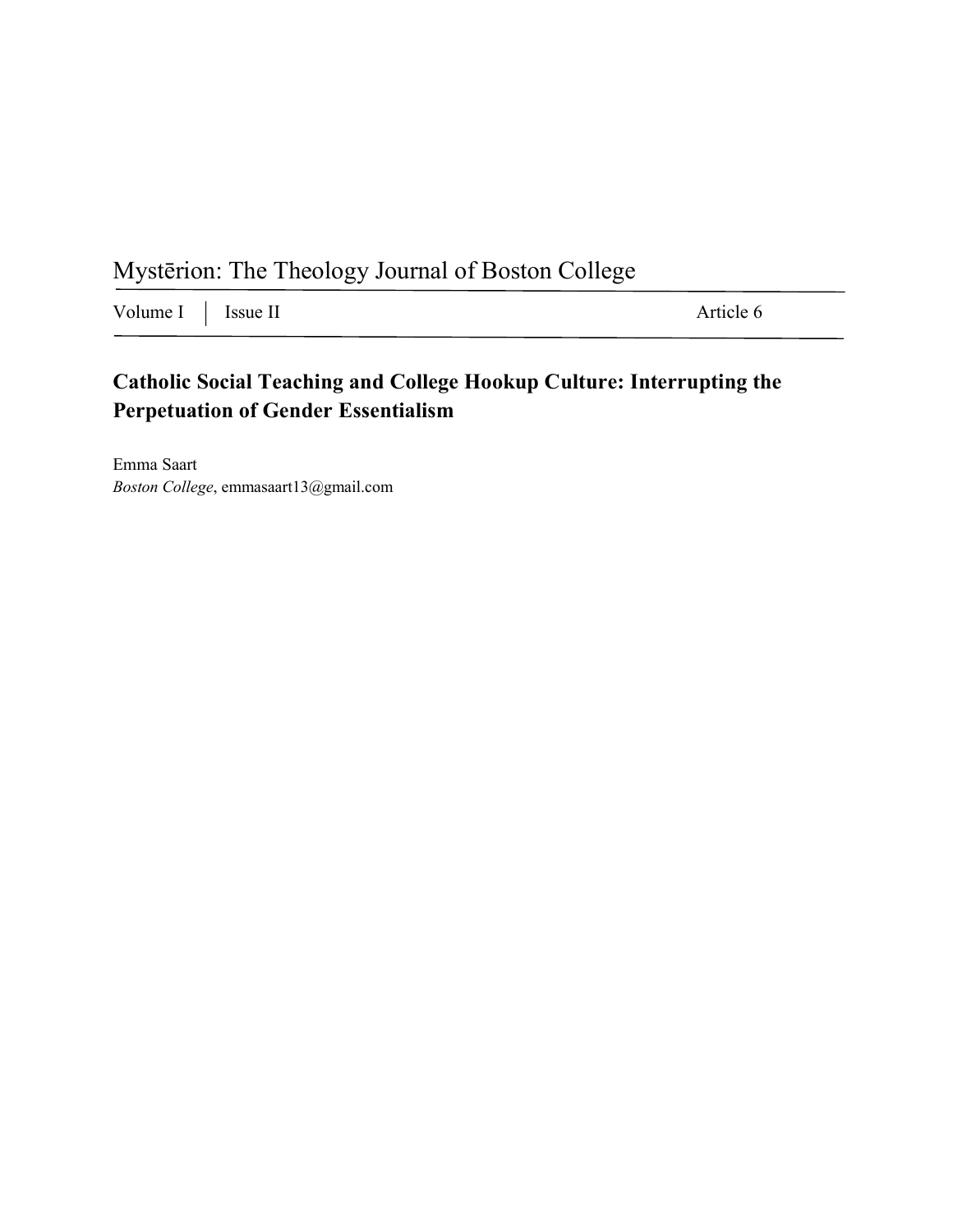Mystērion: The Theology Journal of Boston College

Volume I Issue II Article 6

## **Catholic Social Teaching and College Hookup Culture: Interrupting the Perpetuation of Gender Essentialism**

Emma Saart *Boston College*, emmasaart13@gmail.com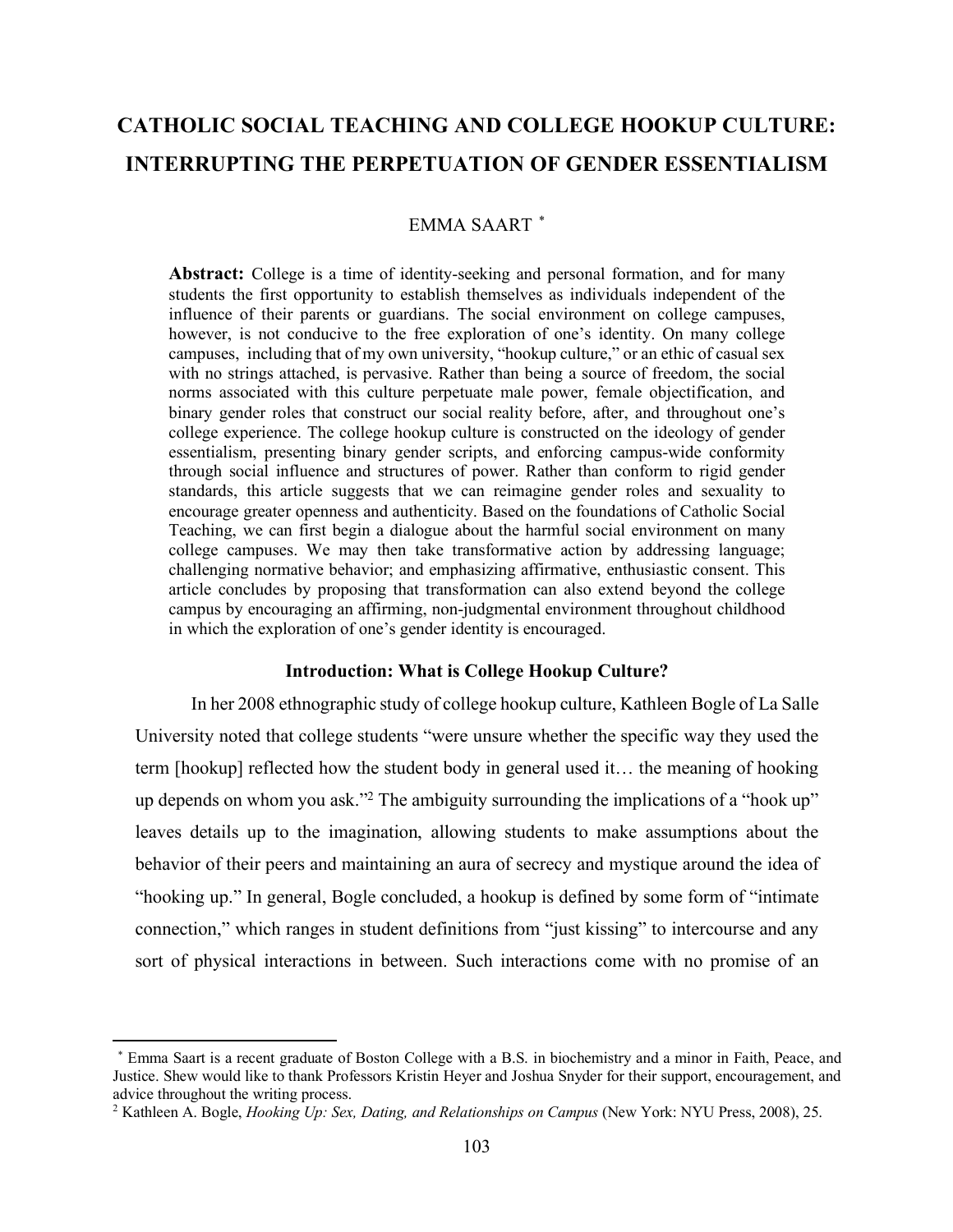# **CATHOLIC SOCIAL TEACHING AND COLLEGE HOOKUP CULTURE: INTERRUPTING THE PERPETUATION OF GENDER ESSENTIALISM**

## EMMA SAART<sup>\*</sup>

Abstract: College is a time of identity-seeking and personal formation, and for many students the first opportunity to establish themselves as individuals independent of the influence of their parents or guardians. The social environment on college campuses, however, is not conducive to the free exploration of one's identity. On many college campuses, including that of my own university, "hookup culture," or an ethic of casual sex with no strings attached, is pervasive. Rather than being a source of freedom, the social norms associated with this culture perpetuate male power, female objectification, and binary gender roles that construct our social reality before, after, and throughout one's college experience. The college hookup culture is constructed on the ideology of gender essentialism, presenting binary gender scripts, and enforcing campus-wide conformity through social influence and structures of power. Rather than conform to rigid gender standards, this article suggests that we can reimagine gender roles and sexuality to encourage greater openness and authenticity. Based on the foundations of Catholic Social Teaching, we can first begin a dialogue about the harmful social environment on many college campuses. We may then take transformative action by addressing language; challenging normative behavior; and emphasizing affirmative, enthusiastic consent. This article concludes by proposing that transformation can also extend beyond the college campus by encouraging an affirming, non-judgmental environment throughout childhood in which the exploration of one's gender identity is encouraged.

#### **Introduction: What is College Hookup Culture?**

In her 2008 ethnographic study of college hookup culture, Kathleen Bogle of La Salle University noted that college students "were unsure whether the specific way they used the term [hookup] reflected how the student body in general used it… the meaning of hooking up depends on whom you ask."2 The ambiguity surrounding the implications of a "hook up" leaves details up to the imagination, allowing students to make assumptions about the behavior of their peers and maintaining an aura of secrecy and mystique around the idea of "hooking up." In general, Bogle concluded, a hookup is defined by some form of "intimate connection," which ranges in student definitions from "just kissing" to intercourse and any sort of physical interactions in between. Such interactions come with no promise of an

<sup>1\*</sup> Emma Saart is a recent graduate of Boston College with a B.S. in biochemistry and a minor in Faith, Peace, and Justice. Shew would like to thank Professors Kristin Heyer and Joshua Snyder for their support, encouragement, and advice throughout the writing process. 2 Kathleen A. Bogle, *Hooking Up: Sex, Dating, and Relationships on Campus* (New York: NYU Press, 2008), 25.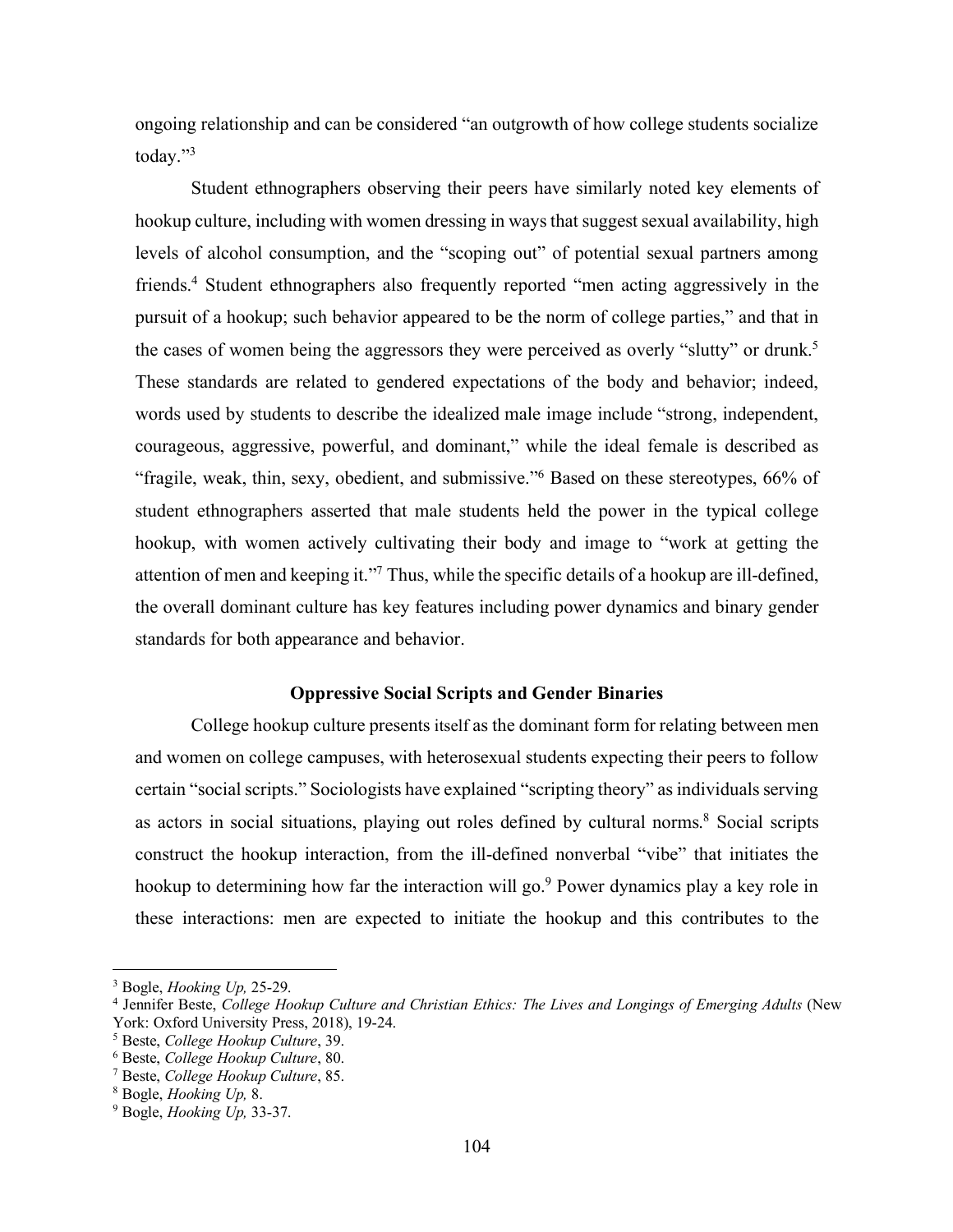ongoing relationship and can be considered "an outgrowth of how college students socialize today."3

Student ethnographers observing their peers have similarly noted key elements of hookup culture, including with women dressing in ways that suggest sexual availability, high levels of alcohol consumption, and the "scoping out" of potential sexual partners among friends.4 Student ethnographers also frequently reported "men acting aggressively in the pursuit of a hookup; such behavior appeared to be the norm of college parties," and that in the cases of women being the aggressors they were perceived as overly "slutty" or drunk.<sup>5</sup> These standards are related to gendered expectations of the body and behavior; indeed, words used by students to describe the idealized male image include "strong, independent, courageous, aggressive, powerful, and dominant," while the ideal female is described as "fragile, weak, thin, sexy, obedient, and submissive."6 Based on these stereotypes, 66% of student ethnographers asserted that male students held the power in the typical college hookup, with women actively cultivating their body and image to "work at getting the attention of men and keeping it."7 Thus, while the specific details of a hookup are ill-defined, the overall dominant culture has key features including power dynamics and binary gender standards for both appearance and behavior.

## **Oppressive Social Scripts and Gender Binaries**

College hookup culture presents itself as the dominant form for relating between men and women on college campuses, with heterosexual students expecting their peers to follow certain "social scripts." Sociologists have explained "scripting theory" as individuals serving as actors in social situations, playing out roles defined by cultural norms.<sup>8</sup> Social scripts construct the hookup interaction, from the ill-defined nonverbal "vibe" that initiates the hookup to determining how far the interaction will go.<sup>9</sup> Power dynamics play a key role in these interactions: men are expected to initiate the hookup and this contributes to the

 $\overline{a}$ 

<sup>3</sup> Bogle, *Hooking Up,* 25-29.

<sup>4</sup> Jennifer Beste, *College Hookup Culture and Christian Ethics: The Lives and Longings of Emerging Adults* (New York: Oxford University Press, 2018), 19-24.

<sup>5</sup> Beste, *College Hookup Culture*, 39.

<sup>6</sup> Beste, *College Hookup Culture*, 80.

<sup>7</sup> Beste, *College Hookup Culture*, 85. 8 Bogle, *Hooking Up,* 8. 9 Bogle, *Hooking Up,* 33-37.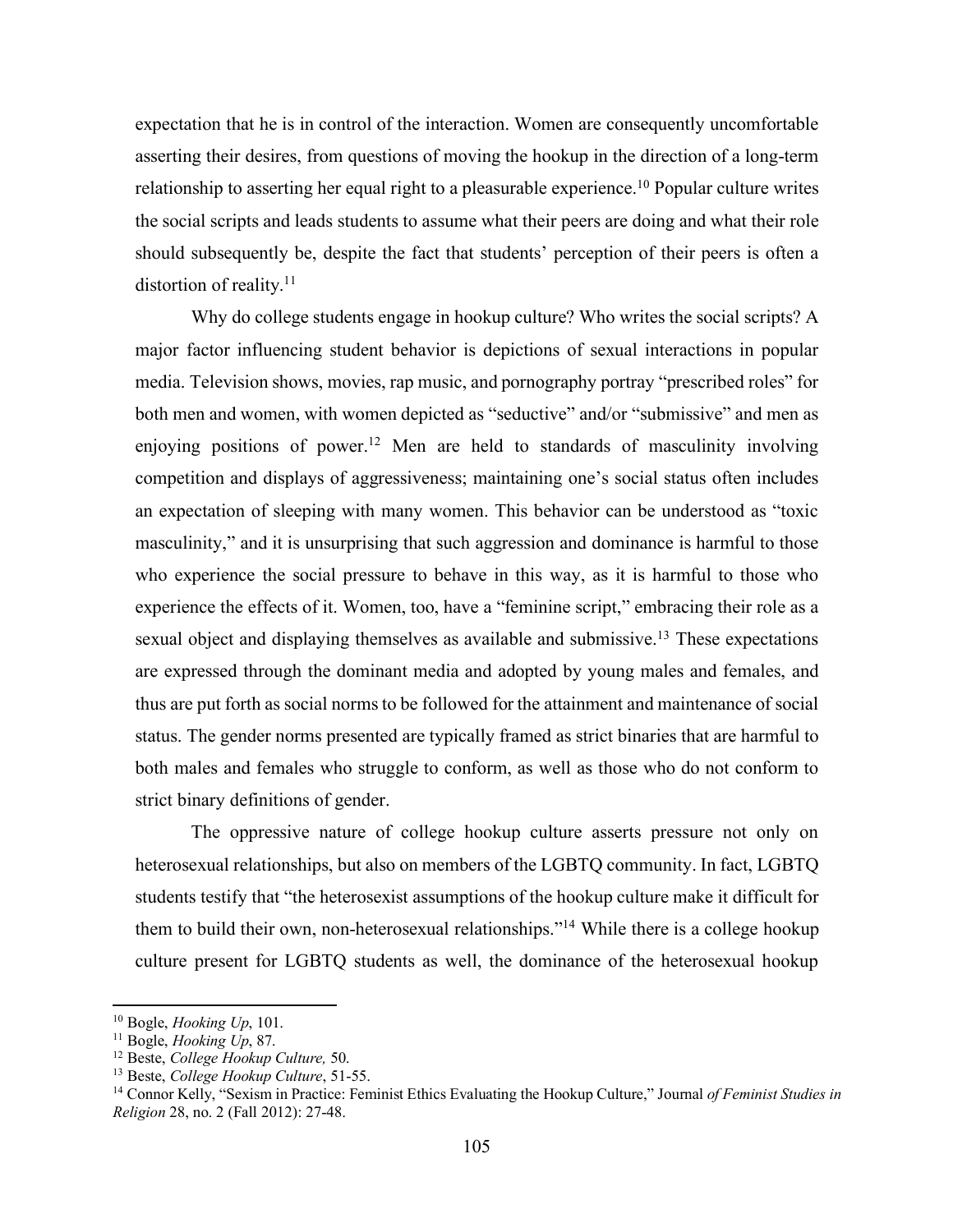expectation that he is in control of the interaction. Women are consequently uncomfortable asserting their desires, from questions of moving the hookup in the direction of a long-term relationship to asserting her equal right to a pleasurable experience.10 Popular culture writes the social scripts and leads students to assume what their peers are doing and what their role should subsequently be, despite the fact that students' perception of their peers is often a distortion of reality. $11$ 

Why do college students engage in hookup culture? Who writes the social scripts? A major factor influencing student behavior is depictions of sexual interactions in popular media. Television shows, movies, rap music, and pornography portray "prescribed roles" for both men and women, with women depicted as "seductive" and/or "submissive" and men as enjoying positions of power.<sup>12</sup> Men are held to standards of masculinity involving competition and displays of aggressiveness; maintaining one's social status often includes an expectation of sleeping with many women. This behavior can be understood as "toxic masculinity," and it is unsurprising that such aggression and dominance is harmful to those who experience the social pressure to behave in this way, as it is harmful to those who experience the effects of it. Women, too, have a "feminine script," embracing their role as a sexual object and displaying themselves as available and submissive.<sup>13</sup> These expectations are expressed through the dominant media and adopted by young males and females, and thus are put forth as social norms to be followed for the attainment and maintenance of social status. The gender norms presented are typically framed as strict binaries that are harmful to both males and females who struggle to conform, as well as those who do not conform to strict binary definitions of gender.

The oppressive nature of college hookup culture asserts pressure not only on heterosexual relationships, but also on members of the LGBTQ community. In fact, LGBTQ students testify that "the heterosexist assumptions of the hookup culture make it difficult for them to build their own, non-heterosexual relationships."14 While there is a college hookup culture present for LGBTQ students as well, the dominance of the heterosexual hookup

<sup>&</sup>lt;sup>10</sup> Bogle, *Hooking Up*, 101.<br><sup>11</sup> Bogle, *Hooking Up*, 87.<br><sup>12</sup> Beste, *College Hookup Culture*, 50.

<sup>&</sup>lt;sup>13</sup> Beste, *College Hookup Culture*, 51-55.<br><sup>14</sup> Connor Kelly, "Sexism in Practice: Feminist Ethics Evaluating the Hookup Culture," Journal *of Feminist Studies in Religion* 28, no. 2 (Fall 2012): 27-48.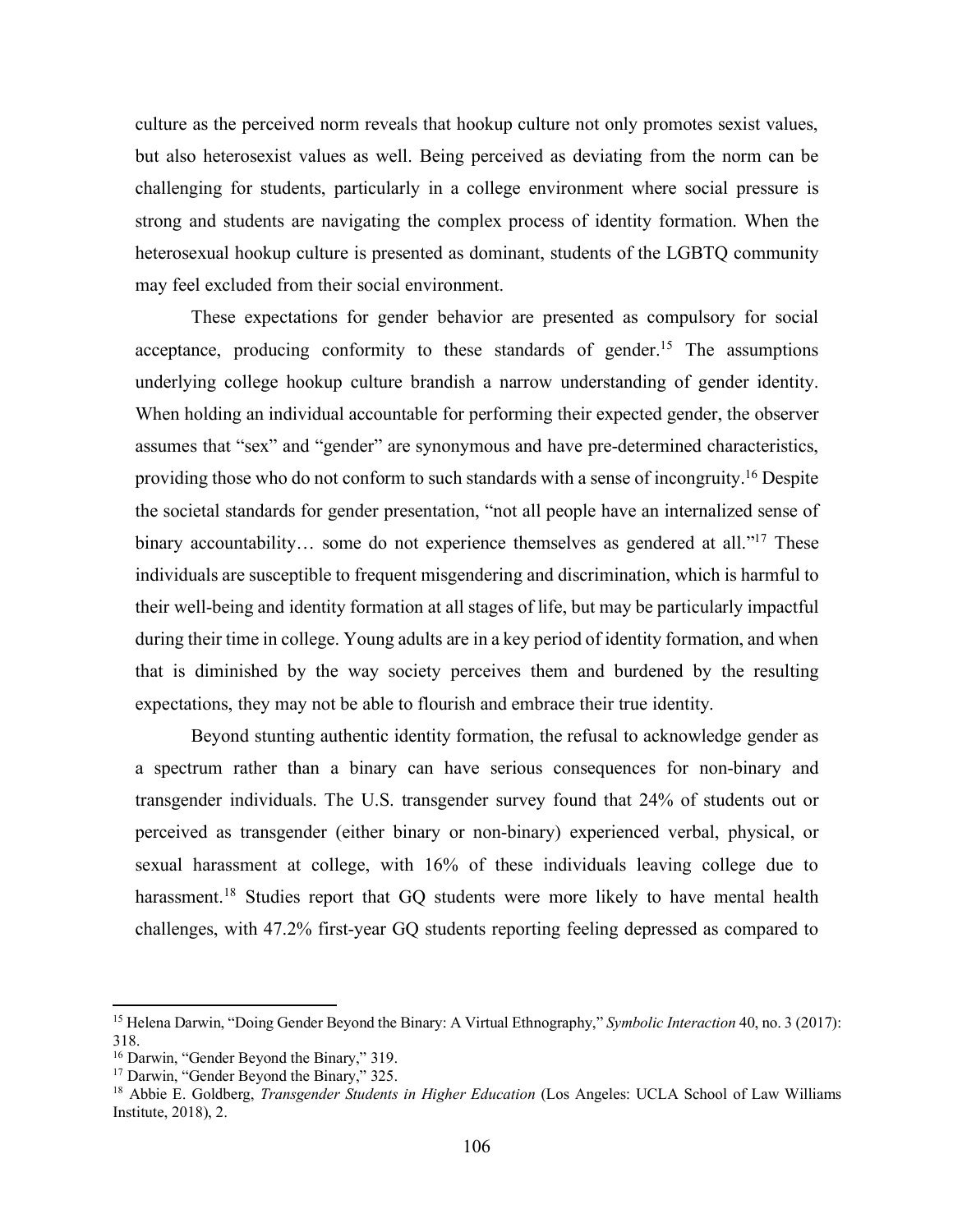culture as the perceived norm reveals that hookup culture not only promotes sexist values, but also heterosexist values as well. Being perceived as deviating from the norm can be challenging for students, particularly in a college environment where social pressure is strong and students are navigating the complex process of identity formation. When the heterosexual hookup culture is presented as dominant, students of the LGBTQ community may feel excluded from their social environment.

These expectations for gender behavior are presented as compulsory for social acceptance, producing conformity to these standards of gender.<sup>15</sup> The assumptions underlying college hookup culture brandish a narrow understanding of gender identity. When holding an individual accountable for performing their expected gender, the observer assumes that "sex" and "gender" are synonymous and have pre-determined characteristics, providing those who do not conform to such standards with a sense of incongruity.16 Despite the societal standards for gender presentation, "not all people have an internalized sense of binary accountability... some do not experience themselves as gendered at all."<sup>17</sup> These individuals are susceptible to frequent misgendering and discrimination, which is harmful to their well-being and identity formation at all stages of life, but may be particularly impactful during their time in college. Young adults are in a key period of identity formation, and when that is diminished by the way society perceives them and burdened by the resulting expectations, they may not be able to flourish and embrace their true identity.

Beyond stunting authentic identity formation, the refusal to acknowledge gender as a spectrum rather than a binary can have serious consequences for non-binary and transgender individuals. The U.S. transgender survey found that 24% of students out or perceived as transgender (either binary or non-binary) experienced verbal, physical, or sexual harassment at college, with 16% of these individuals leaving college due to harassment.<sup>18</sup> Studies report that GQ students were more likely to have mental health challenges, with 47.2% first-year GQ students reporting feeling depressed as compared to

<sup>15</sup> Helena Darwin, "Doing Gender Beyond the Binary: A Virtual Ethnography," *Symbolic Interaction* 40, no. 3 (2017): 318.

<sup>16</sup> Darwin, "Gender Beyond the Binary," 319.

<sup>&</sup>lt;sup>17</sup> Darwin, "Gender Beyond the Binary," 325.

<sup>18</sup> Abbie E. Goldberg, *Transgender Students in Higher Education* (Los Angeles: UCLA School of Law Williams Institute, 2018), 2.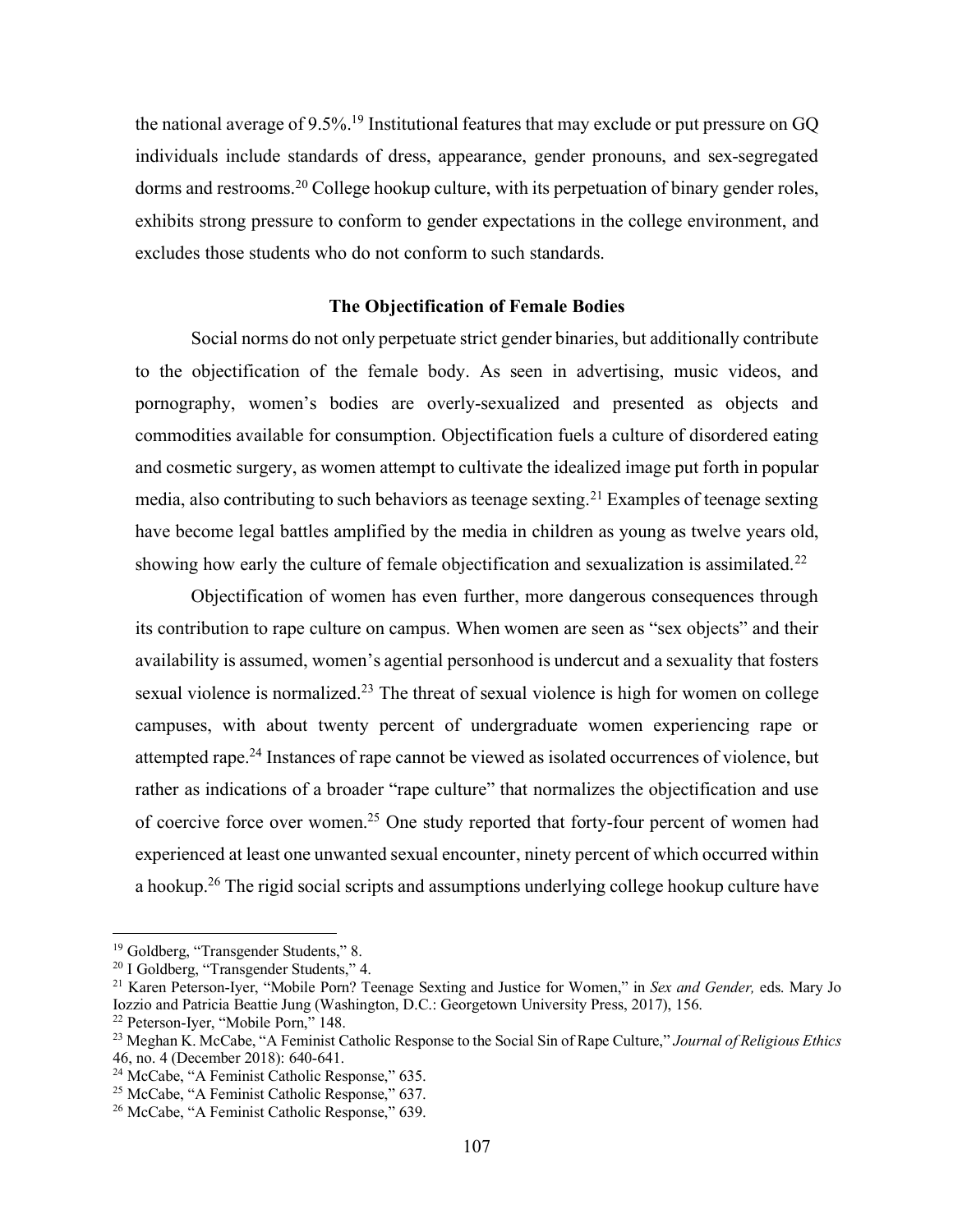the national average of 9.5%.<sup>19</sup> Institutional features that may exclude or put pressure on GQ individuals include standards of dress, appearance, gender pronouns, and sex-segregated dorms and restrooms.20 College hookup culture, with its perpetuation of binary gender roles, exhibits strong pressure to conform to gender expectations in the college environment, and excludes those students who do not conform to such standards.

## **The Objectification of Female Bodies**

Social norms do not only perpetuate strict gender binaries, but additionally contribute to the objectification of the female body. As seen in advertising, music videos, and pornography, women's bodies are overly-sexualized and presented as objects and commodities available for consumption. Objectification fuels a culture of disordered eating and cosmetic surgery, as women attempt to cultivate the idealized image put forth in popular media, also contributing to such behaviors as teenage sexting.<sup>21</sup> Examples of teenage sexting have become legal battles amplified by the media in children as young as twelve years old, showing how early the culture of female objectification and sexualization is assimilated.<sup>22</sup>

Objectification of women has even further, more dangerous consequences through its contribution to rape culture on campus. When women are seen as "sex objects" and their availability is assumed, women's agential personhood is undercut and a sexuality that fosters sexual violence is normalized.<sup>23</sup> The threat of sexual violence is high for women on college campuses, with about twenty percent of undergraduate women experiencing rape or attempted rape.24 Instances of rape cannot be viewed as isolated occurrences of violence, but rather as indications of a broader "rape culture" that normalizes the objectification and use of coercive force over women.25 One study reported that forty-four percent of women had experienced at least one unwanted sexual encounter, ninety percent of which occurred within a hookup.26 The rigid social scripts and assumptions underlying college hookup culture have

<sup>&</sup>lt;sup>19</sup> Goldberg, "Transgender Students," 8.

<sup>&</sup>lt;sup>20</sup> I Goldberg, "Transgender Students," 4.

<sup>21</sup> Karen Peterson-Iyer, "Mobile Porn? Teenage Sexting and Justice for Women," in *Sex and Gender,* eds. Mary Jo Iozzio and Patricia Beattie Jung (Washington, D.C.: Georgetown University Press, 2017), 156.<br><sup>22</sup> Peterson-Iyer, "Mobile Porn," 148.

<sup>&</sup>lt;sup>23</sup> Meghan K. McCabe, "A Feminist Catholic Response to the Social Sin of Rape Culture," *Journal of Religious Ethics* 46, no. 4 (December 2018): 640-641. 46, no. 4 (December 2018): 640-641.<br><sup>24</sup> McCabe, "A Feminist Catholic Response," 635.

<sup>&</sup>lt;sup>25</sup> McCabe, "A Feminist Catholic Response," 637.

<sup>26</sup> McCabe, "A Feminist Catholic Response," 639.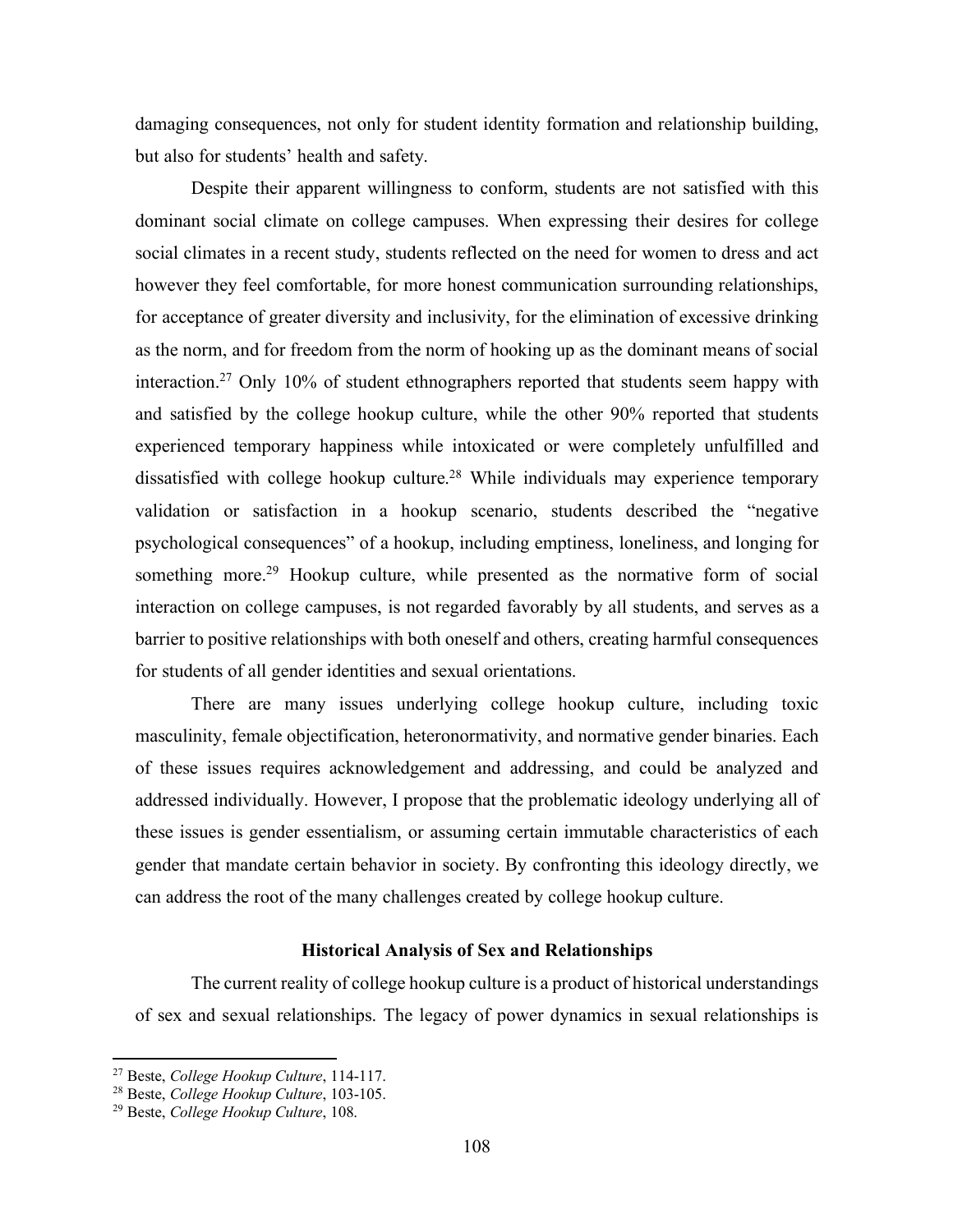damaging consequences, not only for student identity formation and relationship building, but also for students' health and safety.

Despite their apparent willingness to conform, students are not satisfied with this dominant social climate on college campuses. When expressing their desires for college social climates in a recent study, students reflected on the need for women to dress and act however they feel comfortable, for more honest communication surrounding relationships, for acceptance of greater diversity and inclusivity, for the elimination of excessive drinking as the norm, and for freedom from the norm of hooking up as the dominant means of social interaction.27 Only 10% of student ethnographers reported that students seem happy with and satisfied by the college hookup culture, while the other 90% reported that students experienced temporary happiness while intoxicated or were completely unfulfilled and dissatisfied with college hookup culture.28 While individuals may experience temporary validation or satisfaction in a hookup scenario, students described the "negative psychological consequences" of a hookup, including emptiness, loneliness, and longing for something more.<sup>29</sup> Hookup culture, while presented as the normative form of social interaction on college campuses, is not regarded favorably by all students, and serves as a barrier to positive relationships with both oneself and others, creating harmful consequences for students of all gender identities and sexual orientations.

There are many issues underlying college hookup culture, including toxic masculinity, female objectification, heteronormativity, and normative gender binaries. Each of these issues requires acknowledgement and addressing, and could be analyzed and addressed individually. However, I propose that the problematic ideology underlying all of these issues is gender essentialism, or assuming certain immutable characteristics of each gender that mandate certain behavior in society. By confronting this ideology directly, we can address the root of the many challenges created by college hookup culture.

## **Historical Analysis of Sex and Relationships**

The current reality of college hookup culture is a product of historical understandings of sex and sexual relationships. The legacy of power dynamics in sexual relationships is

 $\overline{a}$ 

<sup>27</sup> Beste, *College Hookup Culture*, 114-117.

<sup>28</sup> Beste, *College Hookup Culture*, 103-105. 29 Beste, *College Hookup Culture*, 108.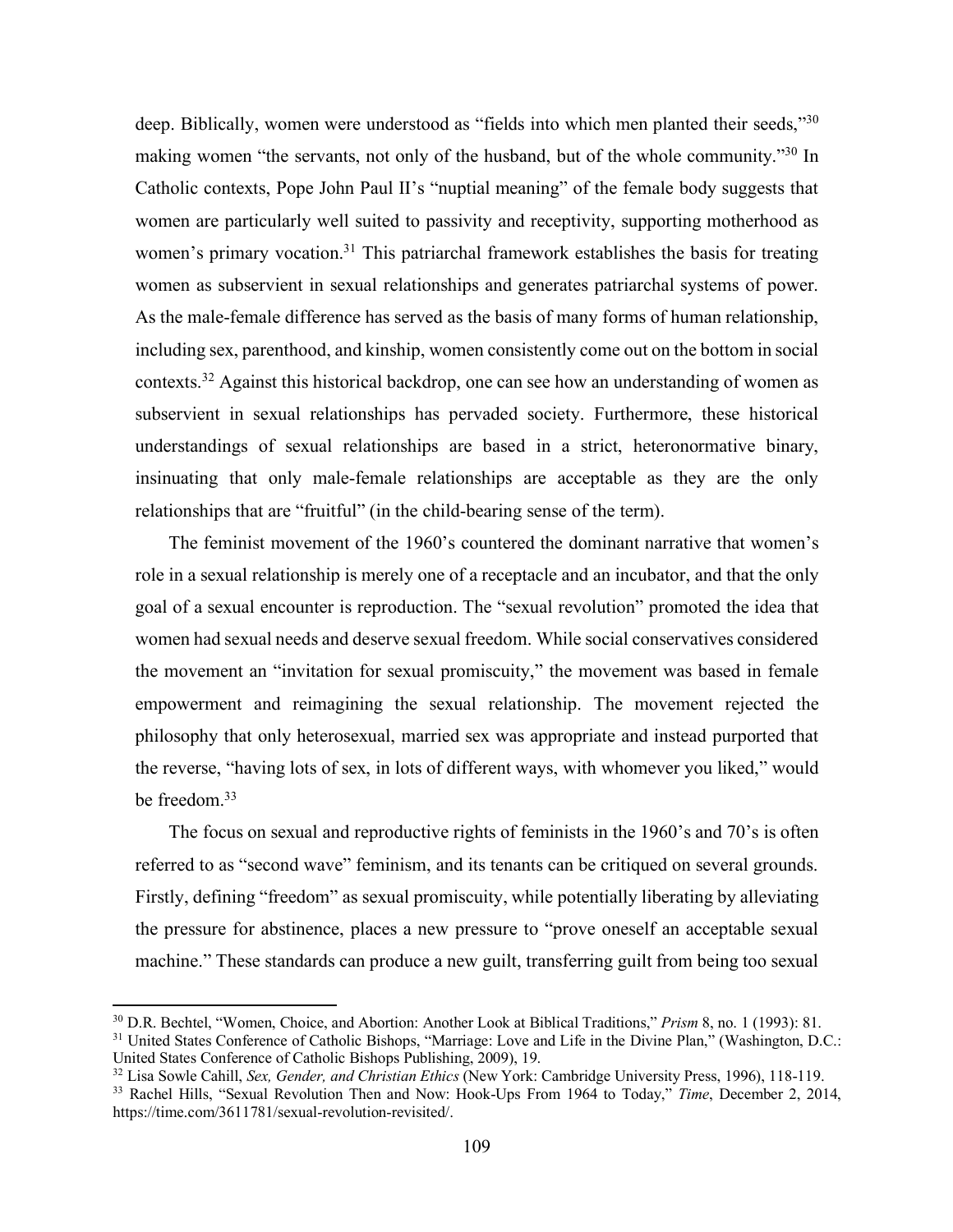deep. Biblically, women were understood as "fields into which men planted their seeds,"<sup>30</sup> making women "the servants, not only of the husband, but of the whole community."30 In Catholic contexts, Pope John Paul II's "nuptial meaning" of the female body suggests that women are particularly well suited to passivity and receptivity, supporting motherhood as women's primary vocation.<sup>31</sup> This patriarchal framework establishes the basis for treating women as subservient in sexual relationships and generates patriarchal systems of power. As the male-female difference has served as the basis of many forms of human relationship, including sex, parenthood, and kinship, women consistently come out on the bottom in social contexts.32 Against this historical backdrop, one can see how an understanding of women as subservient in sexual relationships has pervaded society. Furthermore, these historical understandings of sexual relationships are based in a strict, heteronormative binary, insinuating that only male-female relationships are acceptable as they are the only relationships that are "fruitful" (in the child-bearing sense of the term).

The feminist movement of the 1960's countered the dominant narrative that women's role in a sexual relationship is merely one of a receptacle and an incubator, and that the only goal of a sexual encounter is reproduction. The "sexual revolution" promoted the idea that women had sexual needs and deserve sexual freedom. While social conservatives considered the movement an "invitation for sexual promiscuity," the movement was based in female empowerment and reimagining the sexual relationship. The movement rejected the philosophy that only heterosexual, married sex was appropriate and instead purported that the reverse, "having lots of sex, in lots of different ways, with whomever you liked," would be freedom.33

The focus on sexual and reproductive rights of feminists in the 1960's and 70's is often referred to as "second wave" feminism, and its tenants can be critiqued on several grounds. Firstly, defining "freedom" as sexual promiscuity, while potentially liberating by alleviating the pressure for abstinence, places a new pressure to "prove oneself an acceptable sexual machine." These standards can produce a new guilt, transferring guilt from being too sexual

<sup>30</sup> D.R. Bechtel, "Women, Choice, and Abortion: Another Look at Biblical Traditions," *Prism* 8, no. 1 (1993): 81.

<sup>&</sup>lt;sup>31</sup> United States Conference of Catholic Bishops, "Marriage: Love and Life in the Divine Plan," (Washington, D.C.: United States Conference of Catholic Bishops Publishing, 2009), 19.

<sup>32</sup> Lisa Sowle Cahill, *Sex, Gender, and Christian Ethics* (New York: Cambridge University Press, 1996), 118-119. <sup>33</sup> Rachel Hills, "Sexual Revolution Then and Now: Hook-Ups From 1964 to Today," *Time*, December 2, 2014, https://time.com/3611781/sexual-revolution-revisited/.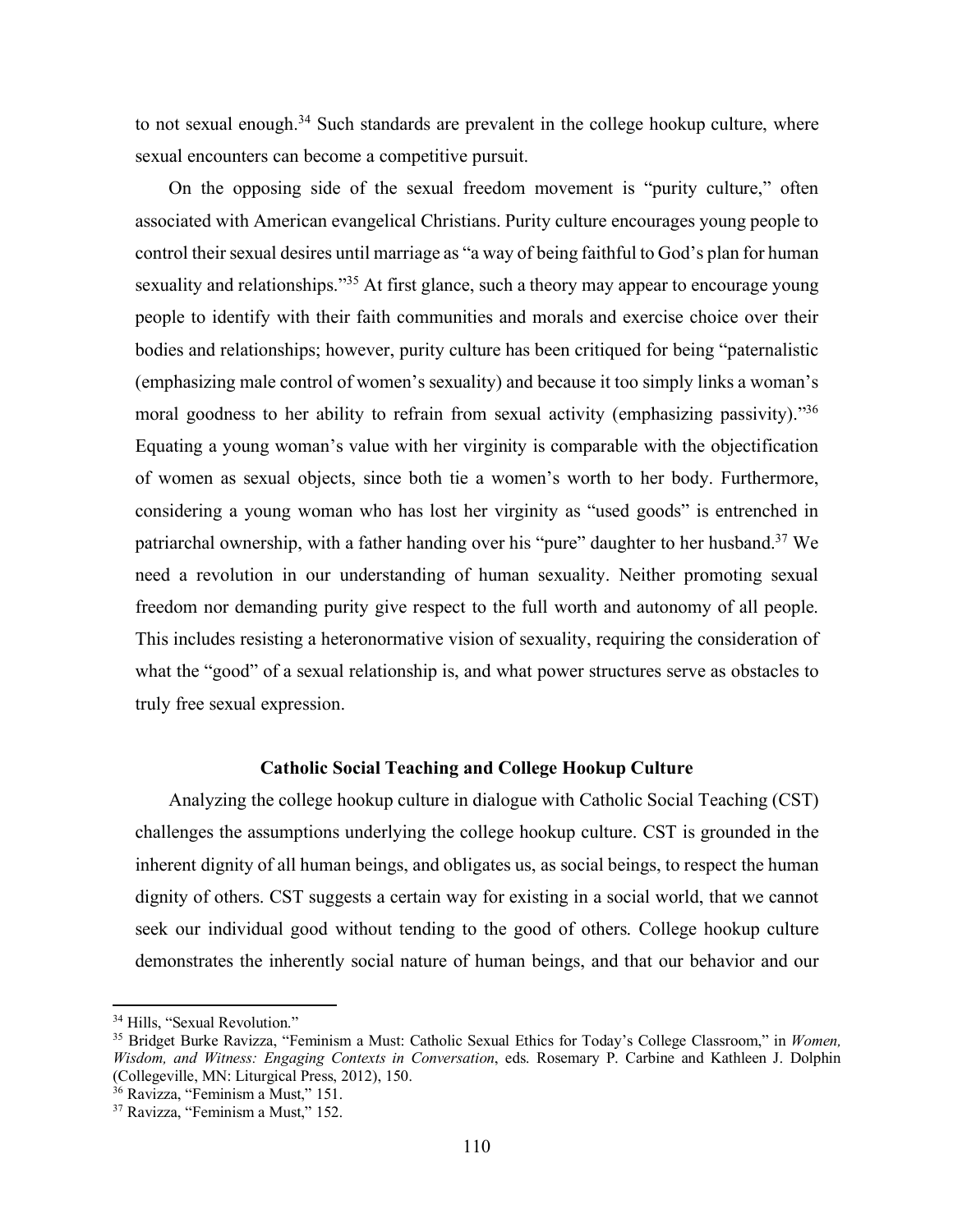to not sexual enough.<sup>34</sup> Such standards are prevalent in the college hookup culture, where sexual encounters can become a competitive pursuit.

On the opposing side of the sexual freedom movement is "purity culture," often associated with American evangelical Christians. Purity culture encourages young people to control their sexual desires until marriage as "a way of being faithful to God's plan for human sexuality and relationships."<sup>35</sup> At first glance, such a theory may appear to encourage young people to identify with their faith communities and morals and exercise choice over their bodies and relationships; however, purity culture has been critiqued for being "paternalistic (emphasizing male control of women's sexuality) and because it too simply links a woman's moral goodness to her ability to refrain from sexual activity (emphasizing passivity).<sup>356</sup> Equating a young woman's value with her virginity is comparable with the objectification of women as sexual objects, since both tie a women's worth to her body. Furthermore, considering a young woman who has lost her virginity as "used goods" is entrenched in patriarchal ownership, with a father handing over his "pure" daughter to her husband.<sup>37</sup> We need a revolution in our understanding of human sexuality. Neither promoting sexual freedom nor demanding purity give respect to the full worth and autonomy of all people. This includes resisting a heteronormative vision of sexuality, requiring the consideration of what the "good" of a sexual relationship is, and what power structures serve as obstacles to truly free sexual expression.

## **Catholic Social Teaching and College Hookup Culture**

Analyzing the college hookup culture in dialogue with Catholic Social Teaching (CST) challenges the assumptions underlying the college hookup culture. CST is grounded in the inherent dignity of all human beings, and obligates us, as social beings, to respect the human dignity of others. CST suggests a certain way for existing in a social world, that we cannot seek our individual good without tending to the good of others. College hookup culture demonstrates the inherently social nature of human beings, and that our behavior and our

<sup>&</sup>lt;sup>34</sup> Hills, "Sexual Revolution."

<sup>35</sup> Bridget Burke Ravizza, "Feminism a Must: Catholic Sexual Ethics for Today's College Classroom," in *Women, Wisdom, and Witness: Engaging Contexts in Conversation*, eds. Rosemary P. Carbine and Kathleen J. Dolphin (Collegeville, MN: Liturgical Press, 2012), 150. 36 Ravizza, "Feminism a Must," 151.

<sup>37</sup> Ravizza, "Feminism a Must," 152.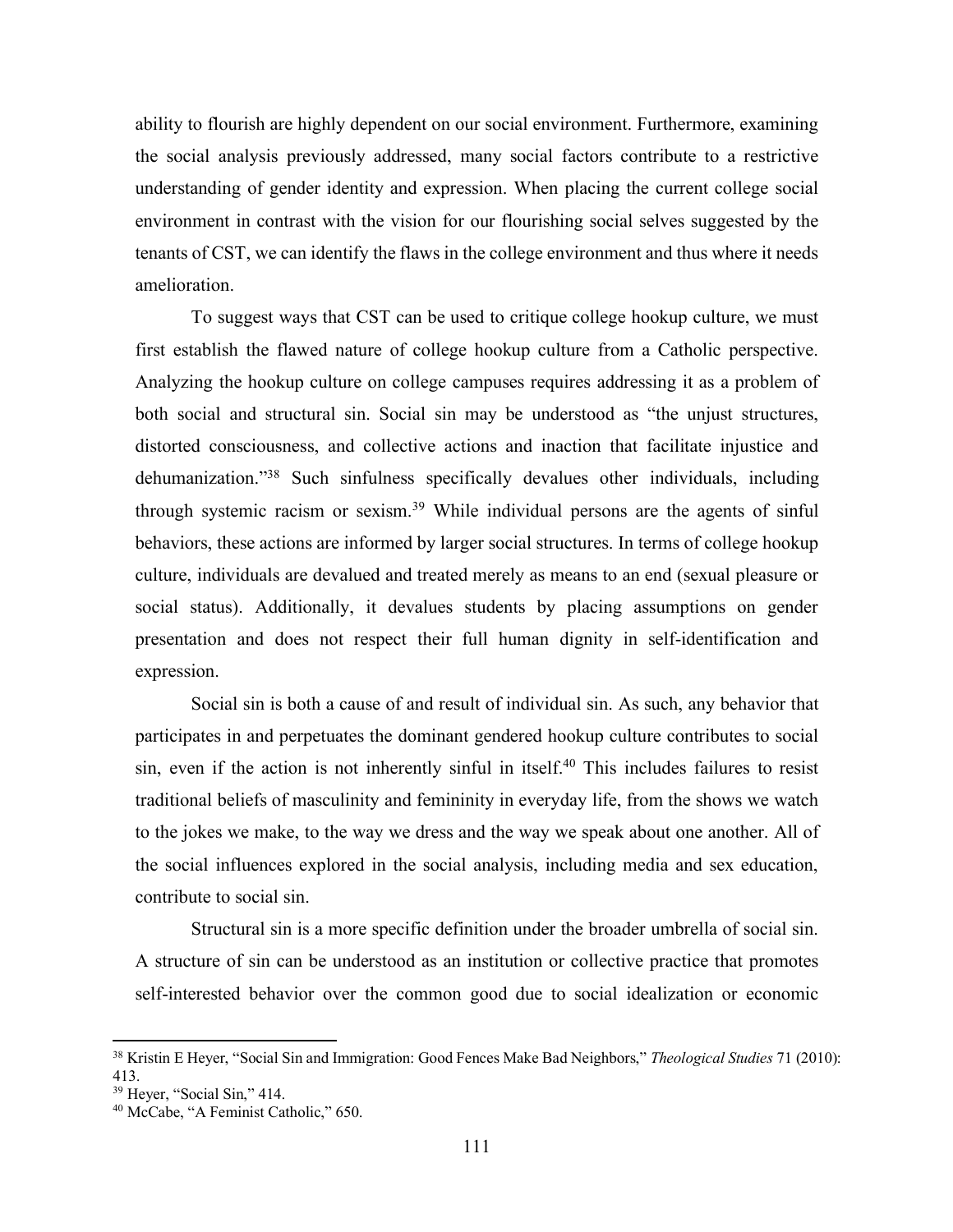ability to flourish are highly dependent on our social environment. Furthermore, examining the social analysis previously addressed, many social factors contribute to a restrictive understanding of gender identity and expression. When placing the current college social environment in contrast with the vision for our flourishing social selves suggested by the tenants of CST, we can identify the flaws in the college environment and thus where it needs amelioration.

To suggest ways that CST can be used to critique college hookup culture, we must first establish the flawed nature of college hookup culture from a Catholic perspective. Analyzing the hookup culture on college campuses requires addressing it as a problem of both social and structural sin. Social sin may be understood as "the unjust structures, distorted consciousness, and collective actions and inaction that facilitate injustice and dehumanization."38 Such sinfulness specifically devalues other individuals, including through systemic racism or sexism.39 While individual persons are the agents of sinful behaviors, these actions are informed by larger social structures. In terms of college hookup culture, individuals are devalued and treated merely as means to an end (sexual pleasure or social status). Additionally, it devalues students by placing assumptions on gender presentation and does not respect their full human dignity in self-identification and expression.

Social sin is both a cause of and result of individual sin. As such, any behavior that participates in and perpetuates the dominant gendered hookup culture contributes to social sin, even if the action is not inherently sinful in itself.<sup>40</sup> This includes failures to resist traditional beliefs of masculinity and femininity in everyday life, from the shows we watch to the jokes we make, to the way we dress and the way we speak about one another. All of the social influences explored in the social analysis, including media and sex education, contribute to social sin.

Structural sin is a more specific definition under the broader umbrella of social sin. A structure of sin can be understood as an institution or collective practice that promotes self-interested behavior over the common good due to social idealization or economic

<sup>38</sup> Kristin E Heyer, "Social Sin and Immigration: Good Fences Make Bad Neighbors," *Theological Studies* 71 (2010): 413.<br><sup>39</sup> Heyer, "Social Sin," 414.

<sup>&</sup>lt;sup>40</sup> McCabe, "A Feminist Catholic," 650.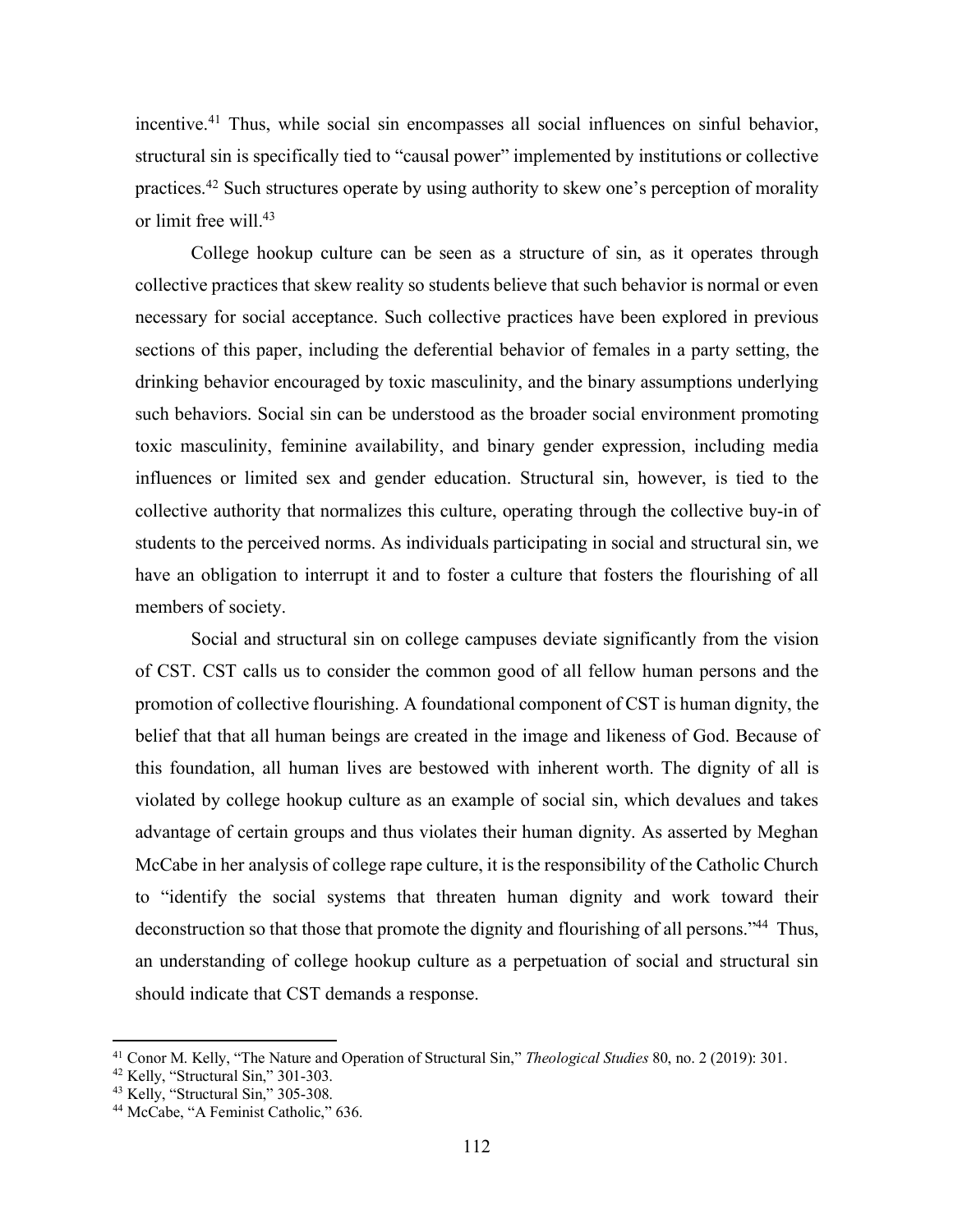incentive. <sup>41</sup> Thus, while social sin encompasses all social influences on sinful behavior, structural sin is specifically tied to "causal power" implemented by institutions or collective practices.42 Such structures operate by using authority to skew one's perception of morality or limit free will.<sup>43</sup>

College hookup culture can be seen as a structure of sin, as it operates through collective practices that skew reality so students believe that such behavior is normal or even necessary for social acceptance. Such collective practices have been explored in previous sections of this paper, including the deferential behavior of females in a party setting, the drinking behavior encouraged by toxic masculinity, and the binary assumptions underlying such behaviors. Social sin can be understood as the broader social environment promoting toxic masculinity, feminine availability, and binary gender expression, including media influences or limited sex and gender education. Structural sin, however, is tied to the collective authority that normalizes this culture, operating through the collective buy-in of students to the perceived norms. As individuals participating in social and structural sin, we have an obligation to interrupt it and to foster a culture that fosters the flourishing of all members of society.

Social and structural sin on college campuses deviate significantly from the vision of CST. CST calls us to consider the common good of all fellow human persons and the promotion of collective flourishing. A foundational component of CST is human dignity, the belief that that all human beings are created in the image and likeness of God. Because of this foundation, all human lives are bestowed with inherent worth. The dignity of all is violated by college hookup culture as an example of social sin, which devalues and takes advantage of certain groups and thus violates their human dignity. As asserted by Meghan McCabe in her analysis of college rape culture, it is the responsibility of the Catholic Church to "identify the social systems that threaten human dignity and work toward their deconstruction so that those that promote the dignity and flourishing of all persons."44 Thus, an understanding of college hookup culture as a perpetuation of social and structural sin should indicate that CST demands a response.

<sup>41</sup> Conor M. Kelly, "The Nature and Operation of Structural Sin," *Theological Studies* 80, no. 2 (2019): 301.

<sup>&</sup>lt;sup>42</sup> Kelly, "Structural Sin," 301-303.<br> $^{43}$  Kelly, "Structural Sin," 305-308.<br> $^{44}$  McCabe, "A Feminist Catholic," 636.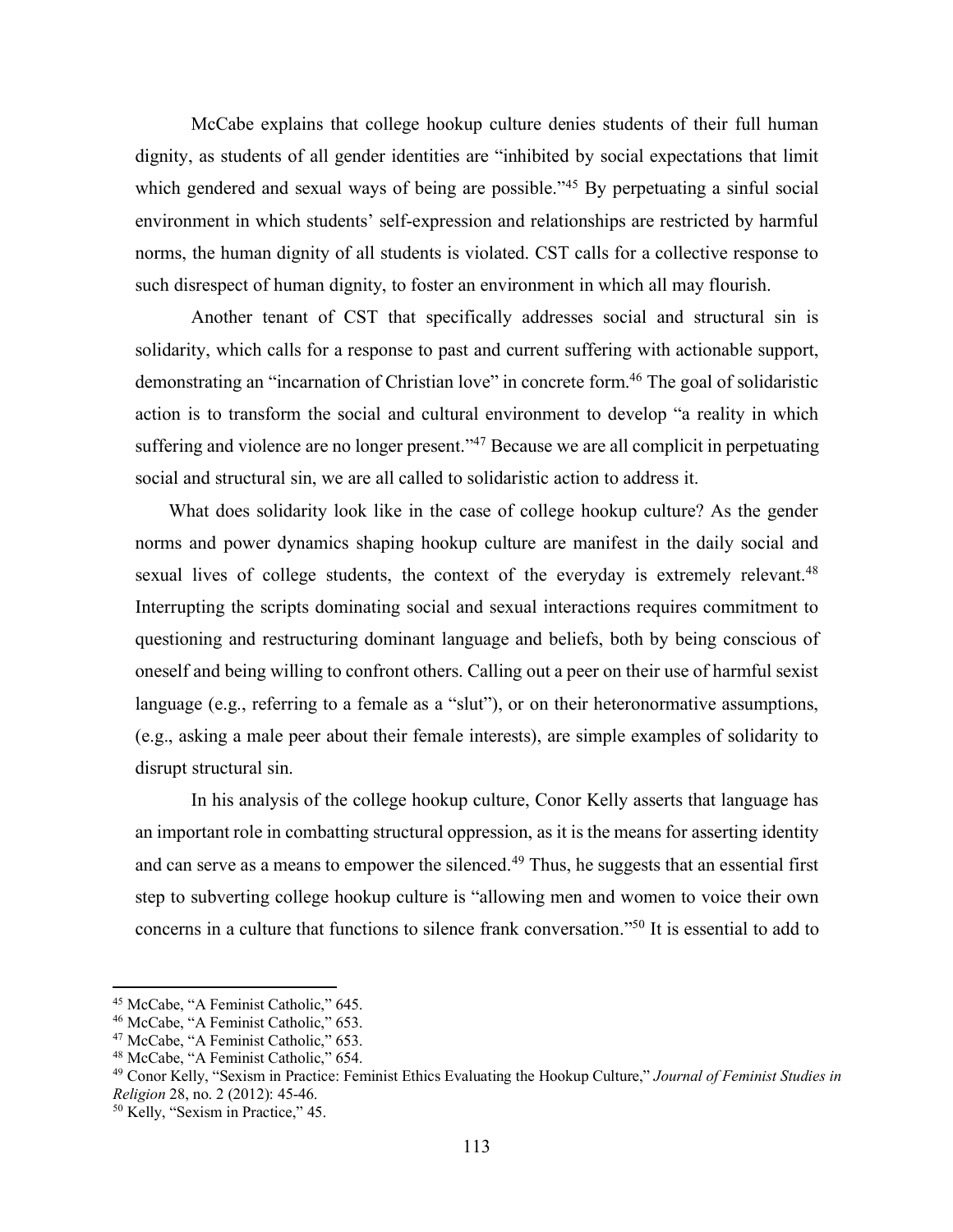McCabe explains that college hookup culture denies students of their full human dignity, as students of all gender identities are "inhibited by social expectations that limit which gendered and sexual ways of being are possible.<sup>245</sup> By perpetuating a sinful social environment in which students' self-expression and relationships are restricted by harmful norms, the human dignity of all students is violated. CST calls for a collective response to such disrespect of human dignity, to foster an environment in which all may flourish.

Another tenant of CST that specifically addresses social and structural sin is solidarity, which calls for a response to past and current suffering with actionable support, demonstrating an "incarnation of Christian love" in concrete form.<sup>46</sup> The goal of solidaristic action is to transform the social and cultural environment to develop "a reality in which suffering and violence are no longer present."<sup>47</sup> Because we are all complicit in perpetuating social and structural sin, we are all called to solidaristic action to address it.

What does solidarity look like in the case of college hookup culture? As the gender norms and power dynamics shaping hookup culture are manifest in the daily social and sexual lives of college students, the context of the everyday is extremely relevant.<sup>48</sup> Interrupting the scripts dominating social and sexual interactions requires commitment to questioning and restructuring dominant language and beliefs, both by being conscious of oneself and being willing to confront others. Calling out a peer on their use of harmful sexist language (e.g., referring to a female as a "slut"), or on their heteronormative assumptions, (e.g., asking a male peer about their female interests), are simple examples of solidarity to disrupt structural sin.

In his analysis of the college hookup culture, Conor Kelly asserts that language has an important role in combatting structural oppression, as it is the means for asserting identity and can serve as a means to empower the silenced.<sup>49</sup> Thus, he suggests that an essential first step to subverting college hookup culture is "allowing men and women to voice their own concerns in a culture that functions to silence frank conversation."50 It is essential to add to

<sup>&</sup>lt;sup>45</sup> McCabe, "A Feminist Catholic," 645.<br><sup>46</sup> McCabe, "A Feminist Catholic," 653.

<sup>47</sup> McCabe, "A Feminist Catholic," 653.

<sup>48</sup> McCabe, "A Feminist Catholic," 654.

<sup>49</sup> Conor Kelly, "Sexism in Practice: Feminist Ethics Evaluating the Hookup Culture," *Journal of Feminist Studies in Religion* 28, no. 2 (2012): 45-46.

<sup>50</sup> Kelly, "Sexism in Practice," 45.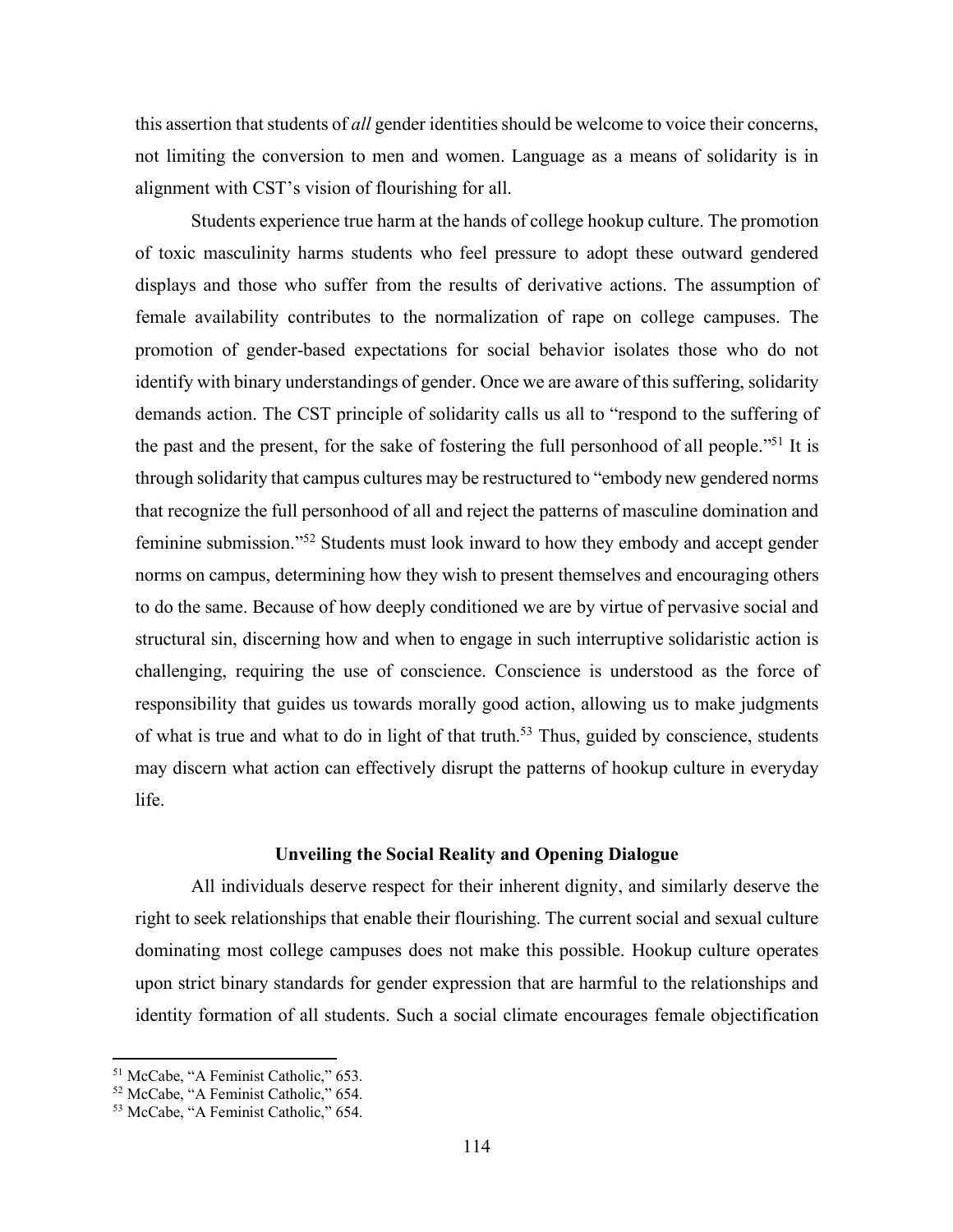this assertion that students of *all* gender identities should be welcome to voice their concerns, not limiting the conversion to men and women. Language as a means of solidarity is in alignment with CST's vision of flourishing for all.

Students experience true harm at the hands of college hookup culture. The promotion of toxic masculinity harms students who feel pressure to adopt these outward gendered displays and those who suffer from the results of derivative actions. The assumption of female availability contributes to the normalization of rape on college campuses. The promotion of gender-based expectations for social behavior isolates those who do not identify with binary understandings of gender. Once we are aware of this suffering, solidarity demands action. The CST principle of solidarity calls us all to "respond to the suffering of the past and the present, for the sake of fostering the full personhood of all people."51 It is through solidarity that campus cultures may be restructured to "embody new gendered norms that recognize the full personhood of all and reject the patterns of masculine domination and feminine submission."52 Students must look inward to how they embody and accept gender norms on campus, determining how they wish to present themselves and encouraging others to do the same. Because of how deeply conditioned we are by virtue of pervasive social and structural sin, discerning how and when to engage in such interruptive solidaristic action is challenging, requiring the use of conscience. Conscience is understood as the force of responsibility that guides us towards morally good action, allowing us to make judgments of what is true and what to do in light of that truth.<sup>53</sup> Thus, guided by conscience, students may discern what action can effectively disrupt the patterns of hookup culture in everyday life.

#### **Unveiling the Social Reality and Opening Dialogue**

All individuals deserve respect for their inherent dignity, and similarly deserve the right to seek relationships that enable their flourishing. The current social and sexual culture dominating most college campuses does not make this possible. Hookup culture operates upon strict binary standards for gender expression that are harmful to the relationships and identity formation of all students. Such a social climate encourages female objectification

 $\overline{a}$ 

<sup>51</sup> McCabe, "A Feminist Catholic," 653.

<sup>52</sup> McCabe, "A Feminist Catholic," 654.

<sup>53</sup> McCabe, "A Feminist Catholic," 654.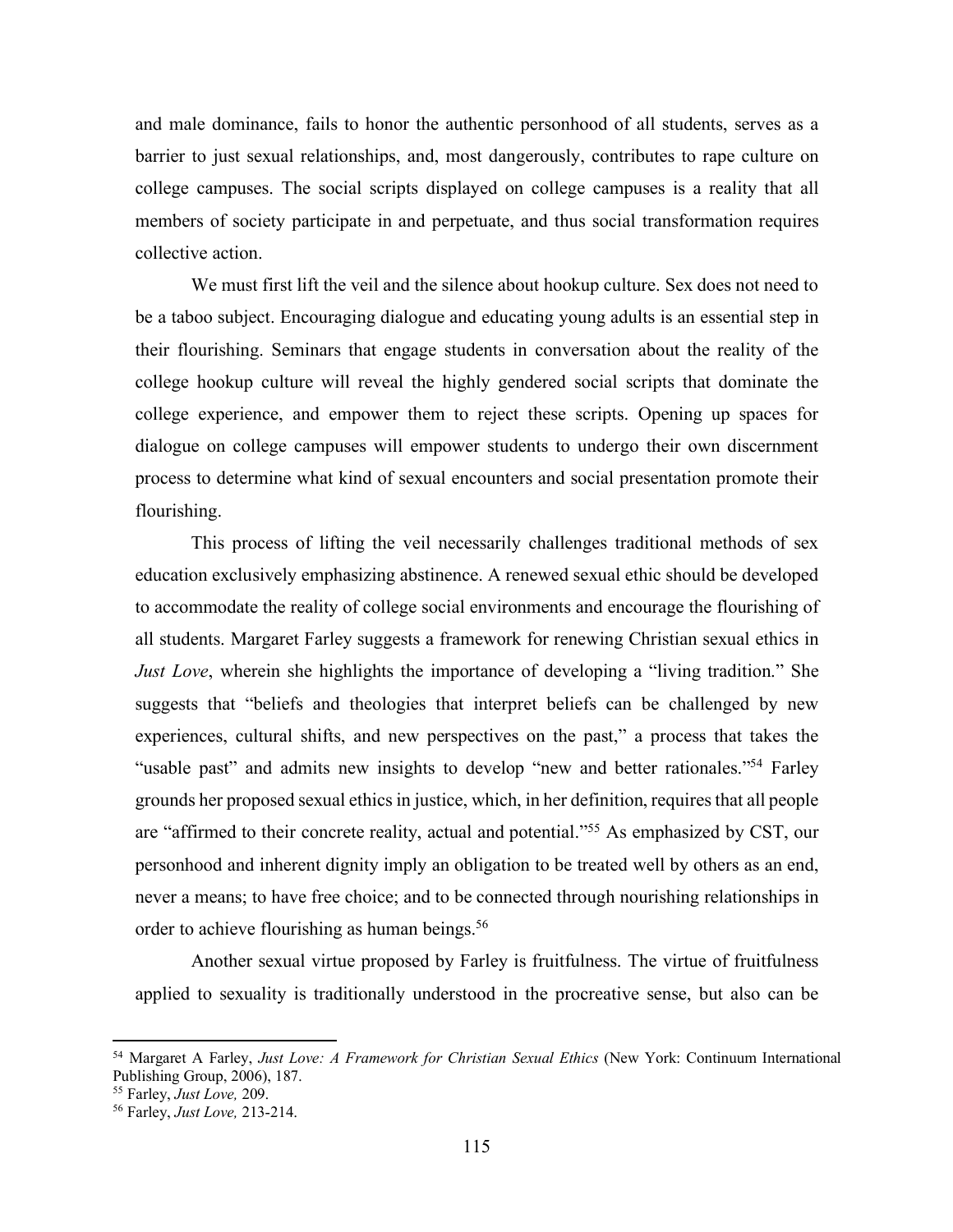and male dominance, fails to honor the authentic personhood of all students, serves as a barrier to just sexual relationships, and, most dangerously, contributes to rape culture on college campuses. The social scripts displayed on college campuses is a reality that all members of society participate in and perpetuate, and thus social transformation requires collective action.

We must first lift the veil and the silence about hookup culture. Sex does not need to be a taboo subject. Encouraging dialogue and educating young adults is an essential step in their flourishing. Seminars that engage students in conversation about the reality of the college hookup culture will reveal the highly gendered social scripts that dominate the college experience, and empower them to reject these scripts. Opening up spaces for dialogue on college campuses will empower students to undergo their own discernment process to determine what kind of sexual encounters and social presentation promote their flourishing.

This process of lifting the veil necessarily challenges traditional methods of sex education exclusively emphasizing abstinence. A renewed sexual ethic should be developed to accommodate the reality of college social environments and encourage the flourishing of all students. Margaret Farley suggests a framework for renewing Christian sexual ethics in *Just Love*, wherein she highlights the importance of developing a "living tradition." She suggests that "beliefs and theologies that interpret beliefs can be challenged by new experiences, cultural shifts, and new perspectives on the past," a process that takes the "usable past" and admits new insights to develop "new and better rationales."<sup>54</sup> Farley grounds her proposed sexual ethics in justice, which, in her definition, requires that all people are "affirmed to their concrete reality, actual and potential."55 As emphasized by CST, our personhood and inherent dignity imply an obligation to be treated well by others as an end, never a means; to have free choice; and to be connected through nourishing relationships in order to achieve flourishing as human beings.<sup>56</sup>

Another sexual virtue proposed by Farley is fruitfulness. The virtue of fruitfulness applied to sexuality is traditionally understood in the procreative sense, but also can be

<sup>54</sup> Margaret A Farley, *Just Love: A Framework for Christian Sexual Ethics* (New York: Continuum International Publishing Group, 2006), 187.

<sup>55</sup> Farley, *Just Love,* 209. 56 Farley, *Just Love,* 213-214.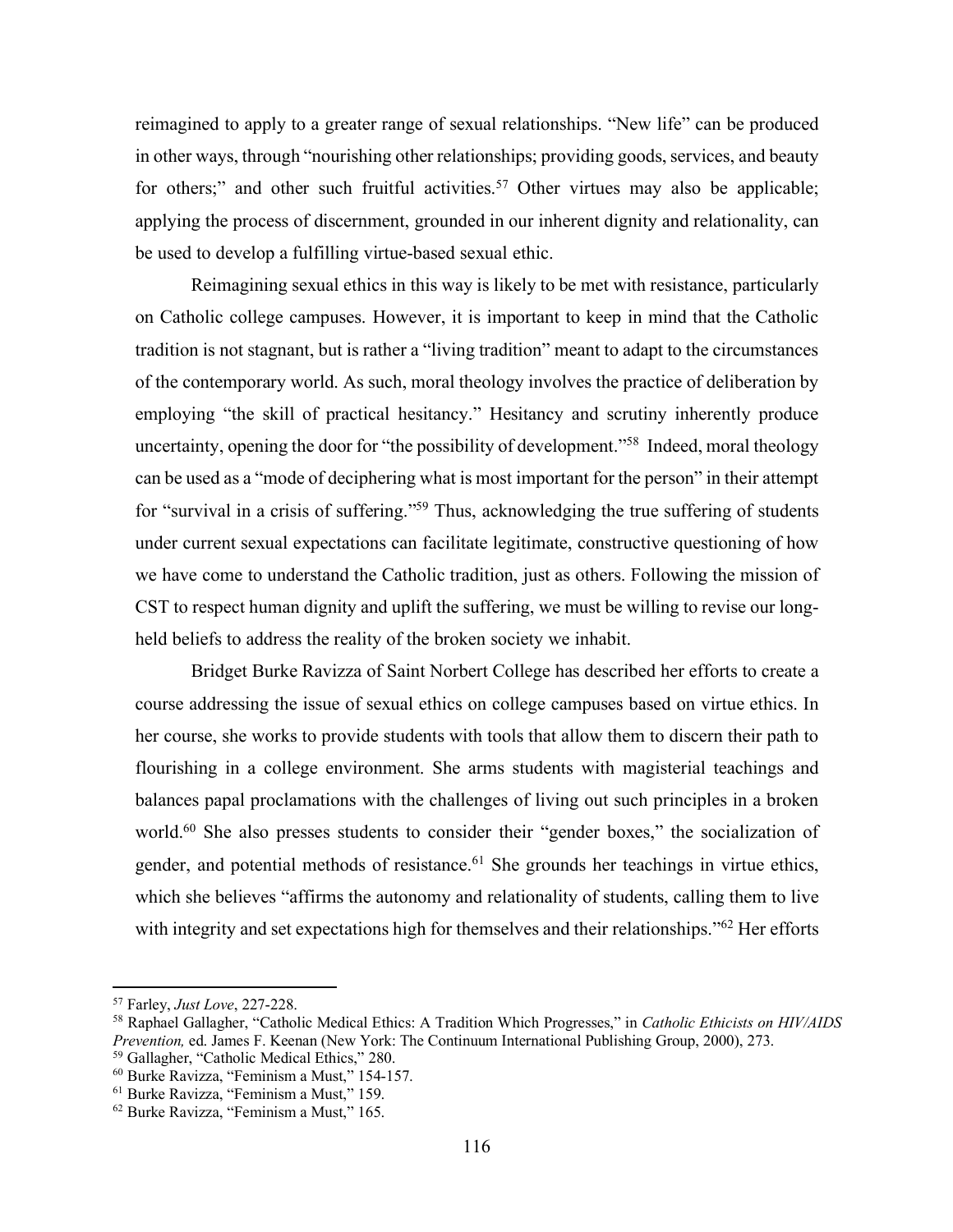reimagined to apply to a greater range of sexual relationships. "New life" can be produced in other ways, through "nourishing other relationships; providing goods, services, and beauty for others;" and other such fruitful activities.<sup>57</sup> Other virtues may also be applicable; applying the process of discernment, grounded in our inherent dignity and relationality, can be used to develop a fulfilling virtue-based sexual ethic.

Reimagining sexual ethics in this way is likely to be met with resistance, particularly on Catholic college campuses. However, it is important to keep in mind that the Catholic tradition is not stagnant, but is rather a "living tradition" meant to adapt to the circumstances of the contemporary world. As such, moral theology involves the practice of deliberation by employing "the skill of practical hesitancy." Hesitancy and scrutiny inherently produce uncertainty, opening the door for "the possibility of development."58 Indeed, moral theology can be used as a "mode of deciphering what is most important for the person" in their attempt for "survival in a crisis of suffering."59 Thus, acknowledging the true suffering of students under current sexual expectations can facilitate legitimate, constructive questioning of how we have come to understand the Catholic tradition, just as others. Following the mission of CST to respect human dignity and uplift the suffering, we must be willing to revise our longheld beliefs to address the reality of the broken society we inhabit.

Bridget Burke Ravizza of Saint Norbert College has described her efforts to create a course addressing the issue of sexual ethics on college campuses based on virtue ethics. In her course, she works to provide students with tools that allow them to discern their path to flourishing in a college environment. She arms students with magisterial teachings and balances papal proclamations with the challenges of living out such principles in a broken world.<sup>60</sup> She also presses students to consider their "gender boxes," the socialization of gender, and potential methods of resistance.<sup>61</sup> She grounds her teachings in virtue ethics, which she believes "affirms the autonomy and relationality of students, calling them to live with integrity and set expectations high for themselves and their relationships."<sup>62</sup> Her efforts

<sup>57</sup> Farley, *Just Love*, 227-228.

<sup>58</sup> Raphael Gallagher, "Catholic Medical Ethics: A Tradition Which Progresses," in *Catholic Ethicists on HIV/AIDS Prevention,* ed. James F. Keenan (New York: The Continuum International Publishing Group, 2000), 273. 59 Gallagher, "Catholic Medical Ethics," 280.

 $^{60}$  Burke Ravizza, "Feminism a Must," 154-157.<br> $^{61}$  Burke Ravizza, "Feminism a Must," 159.

<sup>62</sup> Burke Ravizza, "Feminism a Must," 165.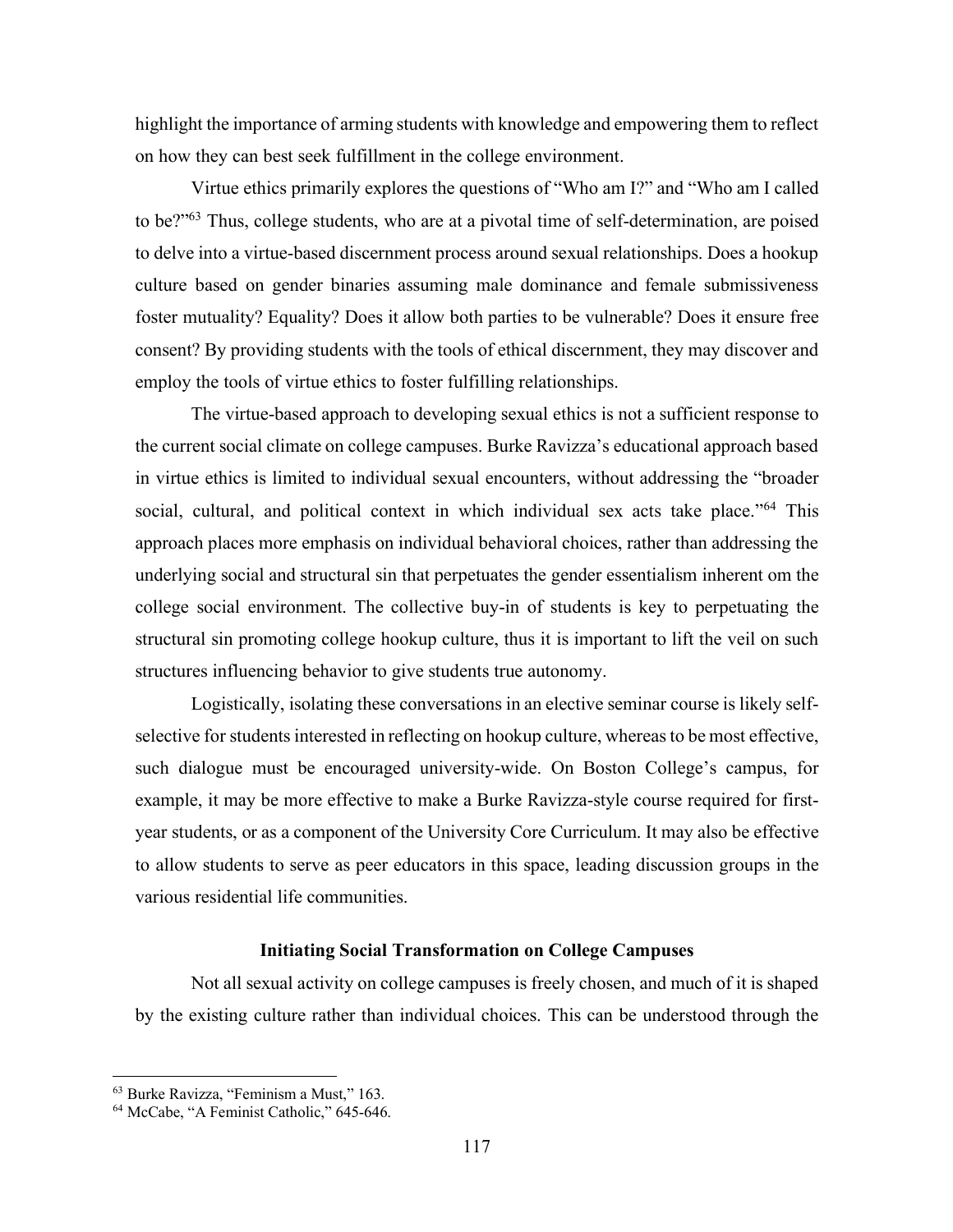highlight the importance of arming students with knowledge and empowering them to reflect on how they can best seek fulfillment in the college environment.

Virtue ethics primarily explores the questions of "Who am I?" and "Who am I called to be?"63 Thus, college students, who are at a pivotal time of self-determination, are poised to delve into a virtue-based discernment process around sexual relationships. Does a hookup culture based on gender binaries assuming male dominance and female submissiveness foster mutuality? Equality? Does it allow both parties to be vulnerable? Does it ensure free consent? By providing students with the tools of ethical discernment, they may discover and employ the tools of virtue ethics to foster fulfilling relationships.

The virtue-based approach to developing sexual ethics is not a sufficient response to the current social climate on college campuses. Burke Ravizza's educational approach based in virtue ethics is limited to individual sexual encounters, without addressing the "broader social, cultural, and political context in which individual sex acts take place."<sup>64</sup> This approach places more emphasis on individual behavioral choices, rather than addressing the underlying social and structural sin that perpetuates the gender essentialism inherent om the college social environment. The collective buy-in of students is key to perpetuating the structural sin promoting college hookup culture, thus it is important to lift the veil on such structures influencing behavior to give students true autonomy.

Logistically, isolating these conversations in an elective seminar course is likely selfselective for students interested in reflecting on hookup culture, whereas to be most effective, such dialogue must be encouraged university-wide. On Boston College's campus, for example, it may be more effective to make a Burke Ravizza-style course required for firstyear students, or as a component of the University Core Curriculum. It may also be effective to allow students to serve as peer educators in this space, leading discussion groups in the various residential life communities.

## **Initiating Social Transformation on College Campuses**

Not all sexual activity on college campuses is freely chosen, and much of it is shaped by the existing culture rather than individual choices. This can be understood through the

<sup>63</sup> Burke Ravizza, "Feminism a Must," 163.

<sup>64</sup> McCabe, "A Feminist Catholic," 645-646.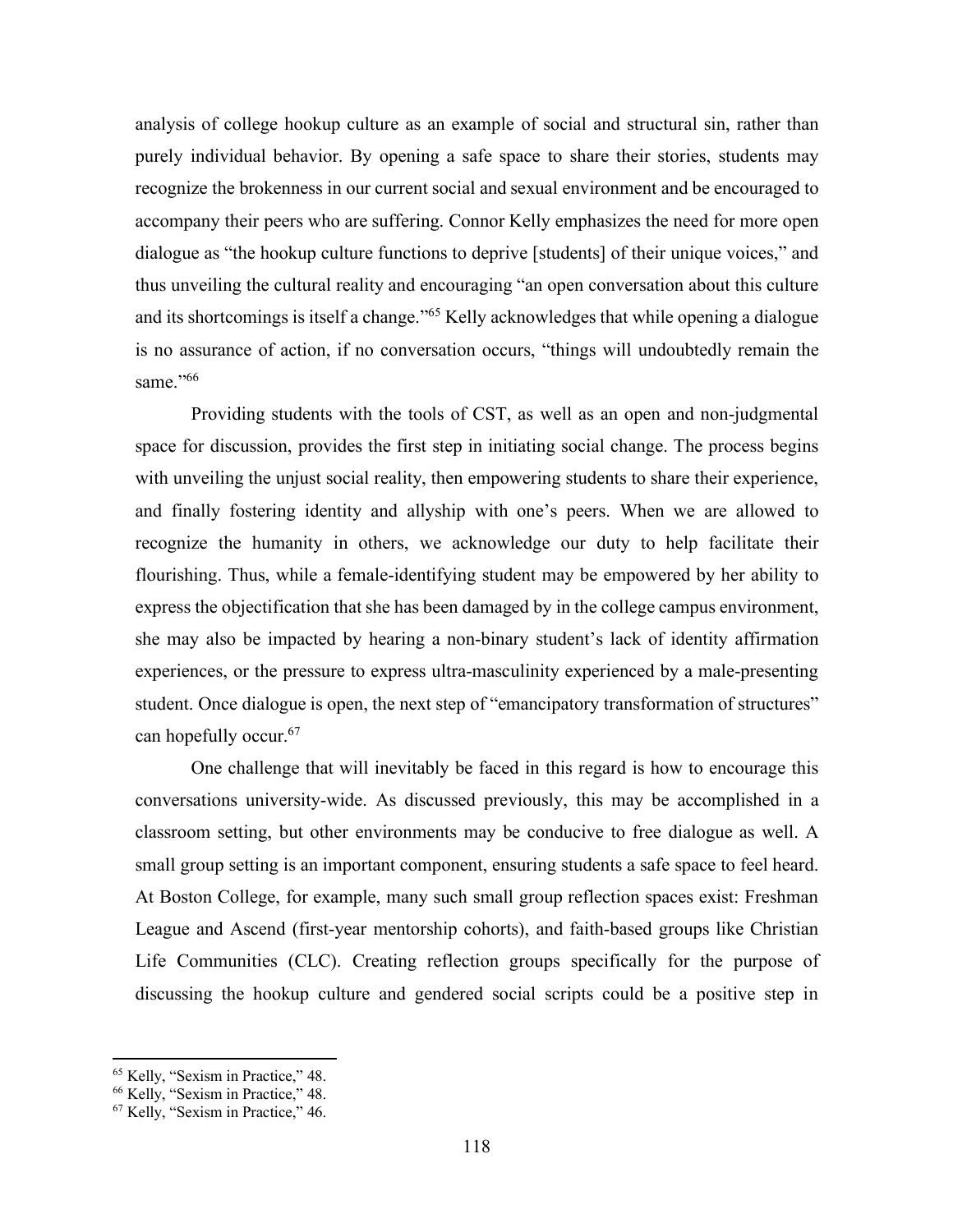analysis of college hookup culture as an example of social and structural sin, rather than purely individual behavior. By opening a safe space to share their stories, students may recognize the brokenness in our current social and sexual environment and be encouraged to accompany their peers who are suffering. Connor Kelly emphasizes the need for more open dialogue as "the hookup culture functions to deprive [students] of their unique voices," and thus unveiling the cultural reality and encouraging "an open conversation about this culture and its shortcomings is itself a change."65 Kelly acknowledges that while opening a dialogue is no assurance of action, if no conversation occurs, "things will undoubtedly remain the same."<sup>66</sup>

Providing students with the tools of CST, as well as an open and non-judgmental space for discussion, provides the first step in initiating social change. The process begins with unveiling the unjust social reality, then empowering students to share their experience, and finally fostering identity and allyship with one's peers. When we are allowed to recognize the humanity in others, we acknowledge our duty to help facilitate their flourishing. Thus, while a female-identifying student may be empowered by her ability to express the objectification that she has been damaged by in the college campus environment, she may also be impacted by hearing a non-binary student's lack of identity affirmation experiences, or the pressure to express ultra-masculinity experienced by a male-presenting student. Once dialogue is open, the next step of "emancipatory transformation of structures" can hopefully occur.67

One challenge that will inevitably be faced in this regard is how to encourage this conversations university-wide. As discussed previously, this may be accomplished in a classroom setting, but other environments may be conducive to free dialogue as well. A small group setting is an important component, ensuring students a safe space to feel heard. At Boston College, for example, many such small group reflection spaces exist: Freshman League and Ascend (first-year mentorship cohorts), and faith-based groups like Christian Life Communities (CLC). Creating reflection groups specifically for the purpose of discussing the hookup culture and gendered social scripts could be a positive step in

 $\overline{a}$ 

<sup>&</sup>lt;sup>65</sup> Kelly, "Sexism in Practice," 48.

<sup>66</sup> Kelly, "Sexism in Practice," 48.

<sup>67</sup> Kelly, "Sexism in Practice," 46.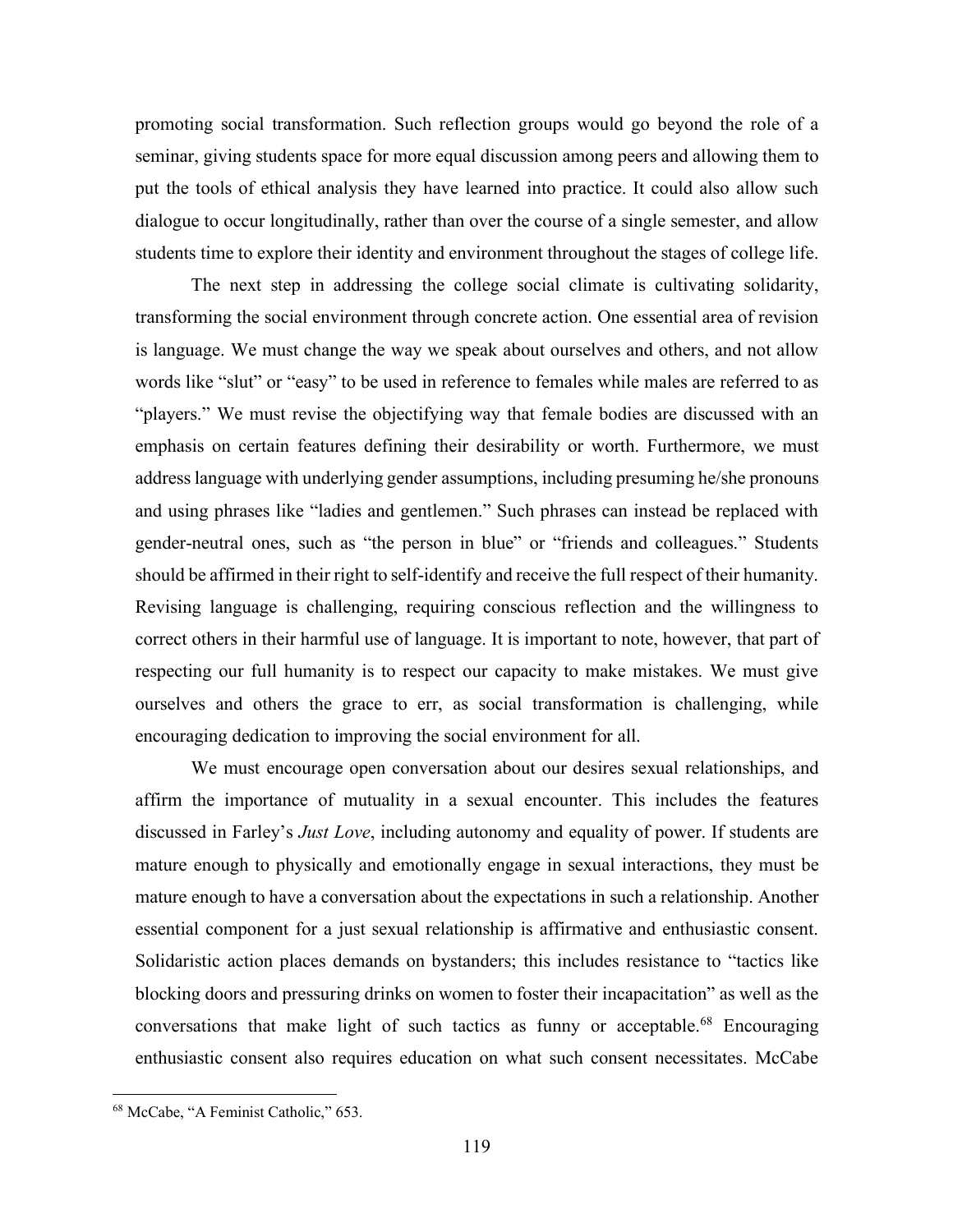promoting social transformation. Such reflection groups would go beyond the role of a seminar, giving students space for more equal discussion among peers and allowing them to put the tools of ethical analysis they have learned into practice. It could also allow such dialogue to occur longitudinally, rather than over the course of a single semester, and allow students time to explore their identity and environment throughout the stages of college life.

The next step in addressing the college social climate is cultivating solidarity, transforming the social environment through concrete action. One essential area of revision is language. We must change the way we speak about ourselves and others, and not allow words like "slut" or "easy" to be used in reference to females while males are referred to as "players." We must revise the objectifying way that female bodies are discussed with an emphasis on certain features defining their desirability or worth. Furthermore, we must address language with underlying gender assumptions, including presuming he/she pronouns and using phrases like "ladies and gentlemen." Such phrases can instead be replaced with gender-neutral ones, such as "the person in blue" or "friends and colleagues." Students should be affirmed in their right to self-identify and receive the full respect of their humanity. Revising language is challenging, requiring conscious reflection and the willingness to correct others in their harmful use of language. It is important to note, however, that part of respecting our full humanity is to respect our capacity to make mistakes. We must give ourselves and others the grace to err, as social transformation is challenging, while encouraging dedication to improving the social environment for all.

We must encourage open conversation about our desires sexual relationships, and affirm the importance of mutuality in a sexual encounter. This includes the features discussed in Farley's *Just Love*, including autonomy and equality of power. If students are mature enough to physically and emotionally engage in sexual interactions, they must be mature enough to have a conversation about the expectations in such a relationship. Another essential component for a just sexual relationship is affirmative and enthusiastic consent. Solidaristic action places demands on bystanders; this includes resistance to "tactics like blocking doors and pressuring drinks on women to foster their incapacitation" as well as the conversations that make light of such tactics as funny or acceptable.<sup>68</sup> Encouraging enthusiastic consent also requires education on what such consent necessitates. McCabe

<sup>68</sup> McCabe, "A Feminist Catholic," 653.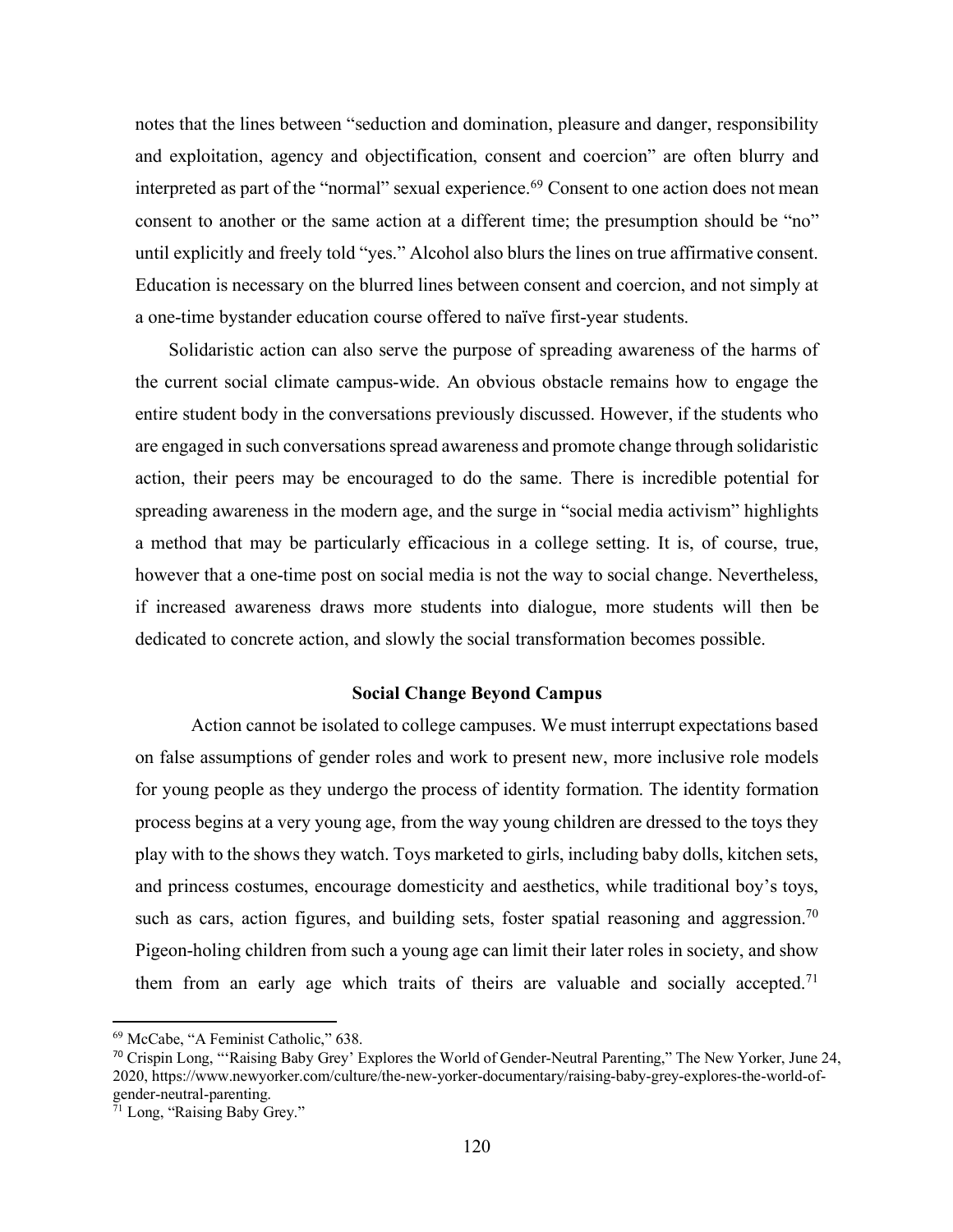notes that the lines between "seduction and domination, pleasure and danger, responsibility and exploitation, agency and objectification, consent and coercion" are often blurry and interpreted as part of the "normal" sexual experience.<sup>69</sup> Consent to one action does not mean consent to another or the same action at a different time; the presumption should be "no" until explicitly and freely told "yes." Alcohol also blurs the lines on true affirmative consent. Education is necessary on the blurred lines between consent and coercion, and not simply at a one-time bystander education course offered to naïve first-year students.

Solidaristic action can also serve the purpose of spreading awareness of the harms of the current social climate campus-wide. An obvious obstacle remains how to engage the entire student body in the conversations previously discussed. However, if the students who are engaged in such conversations spread awareness and promote change through solidaristic action, their peers may be encouraged to do the same. There is incredible potential for spreading awareness in the modern age, and the surge in "social media activism" highlights a method that may be particularly efficacious in a college setting. It is, of course, true, however that a one-time post on social media is not the way to social change. Nevertheless, if increased awareness draws more students into dialogue, more students will then be dedicated to concrete action, and slowly the social transformation becomes possible.

## **Social Change Beyond Campus**

Action cannot be isolated to college campuses. We must interrupt expectations based on false assumptions of gender roles and work to present new, more inclusive role models for young people as they undergo the process of identity formation. The identity formation process begins at a very young age, from the way young children are dressed to the toys they play with to the shows they watch. Toys marketed to girls, including baby dolls, kitchen sets, and princess costumes, encourage domesticity and aesthetics, while traditional boy's toys, such as cars, action figures, and building sets, foster spatial reasoning and aggression.<sup>70</sup> Pigeon-holing children from such a young age can limit their later roles in society, and show them from an early age which traits of theirs are valuable and socially accepted.<sup>71</sup>

<sup>69</sup> McCabe, "A Feminist Catholic," 638.

<sup>70</sup> Crispin Long, "'Raising Baby Grey' Explores the World of Gender-Neutral Parenting," The New Yorker, June 24, 2020, https://www.newyorker.com/culture/the-new-yorker-documentary/raising-baby-grey-explores-the-world-ofgender-neutral-parenting.

<sup>71</sup> Long, "Raising Baby Grey."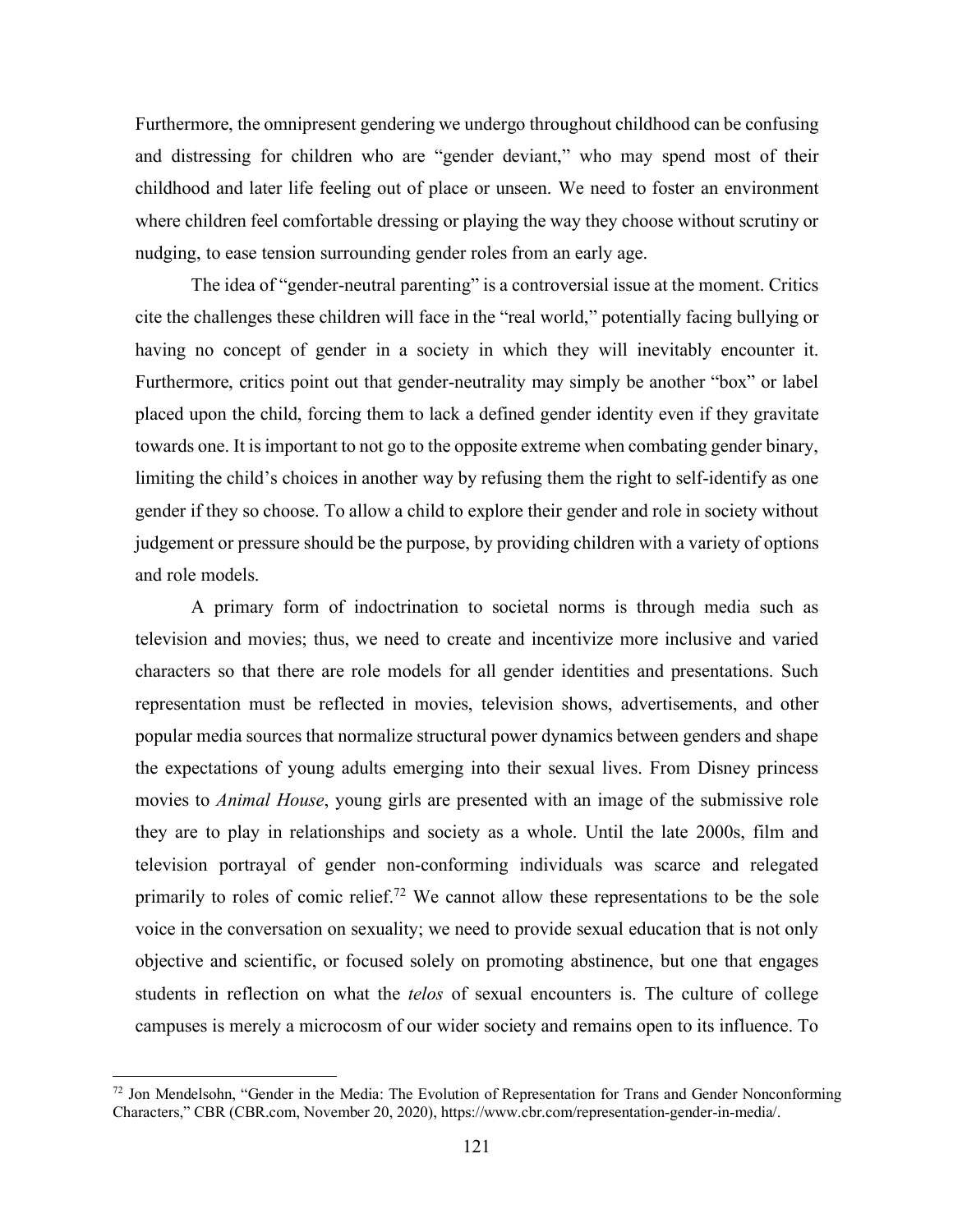Furthermore, the omnipresent gendering we undergo throughout childhood can be confusing and distressing for children who are "gender deviant," who may spend most of their childhood and later life feeling out of place or unseen. We need to foster an environment where children feel comfortable dressing or playing the way they choose without scrutiny or nudging, to ease tension surrounding gender roles from an early age.

The idea of "gender-neutral parenting" is a controversial issue at the moment. Critics cite the challenges these children will face in the "real world," potentially facing bullying or having no concept of gender in a society in which they will inevitably encounter it. Furthermore, critics point out that gender-neutrality may simply be another "box" or label placed upon the child, forcing them to lack a defined gender identity even if they gravitate towards one. It is important to not go to the opposite extreme when combating gender binary, limiting the child's choices in another way by refusing them the right to self-identify as one gender if they so choose. To allow a child to explore their gender and role in society without judgement or pressure should be the purpose, by providing children with a variety of options and role models.

A primary form of indoctrination to societal norms is through media such as television and movies; thus, we need to create and incentivize more inclusive and varied characters so that there are role models for all gender identities and presentations. Such representation must be reflected in movies, television shows, advertisements, and other popular media sources that normalize structural power dynamics between genders and shape the expectations of young adults emerging into their sexual lives. From Disney princess movies to *Animal House*, young girls are presented with an image of the submissive role they are to play in relationships and society as a whole. Until the late 2000s, film and television portrayal of gender non-conforming individuals was scarce and relegated primarily to roles of comic relief.<sup>72</sup> We cannot allow these representations to be the sole voice in the conversation on sexuality; we need to provide sexual education that is not only objective and scientific, or focused solely on promoting abstinence, but one that engages students in reflection on what the *telos* of sexual encounters is. The culture of college campuses is merely a microcosm of our wider society and remains open to its influence. To

<sup>&</sup>lt;sup>72</sup> Jon Mendelsohn, "Gender in the Media: The Evolution of Representation for Trans and Gender Nonconforming Characters," CBR (CBR.com, November 20, 2020), https://www.cbr.com/representation-gender-in-media/.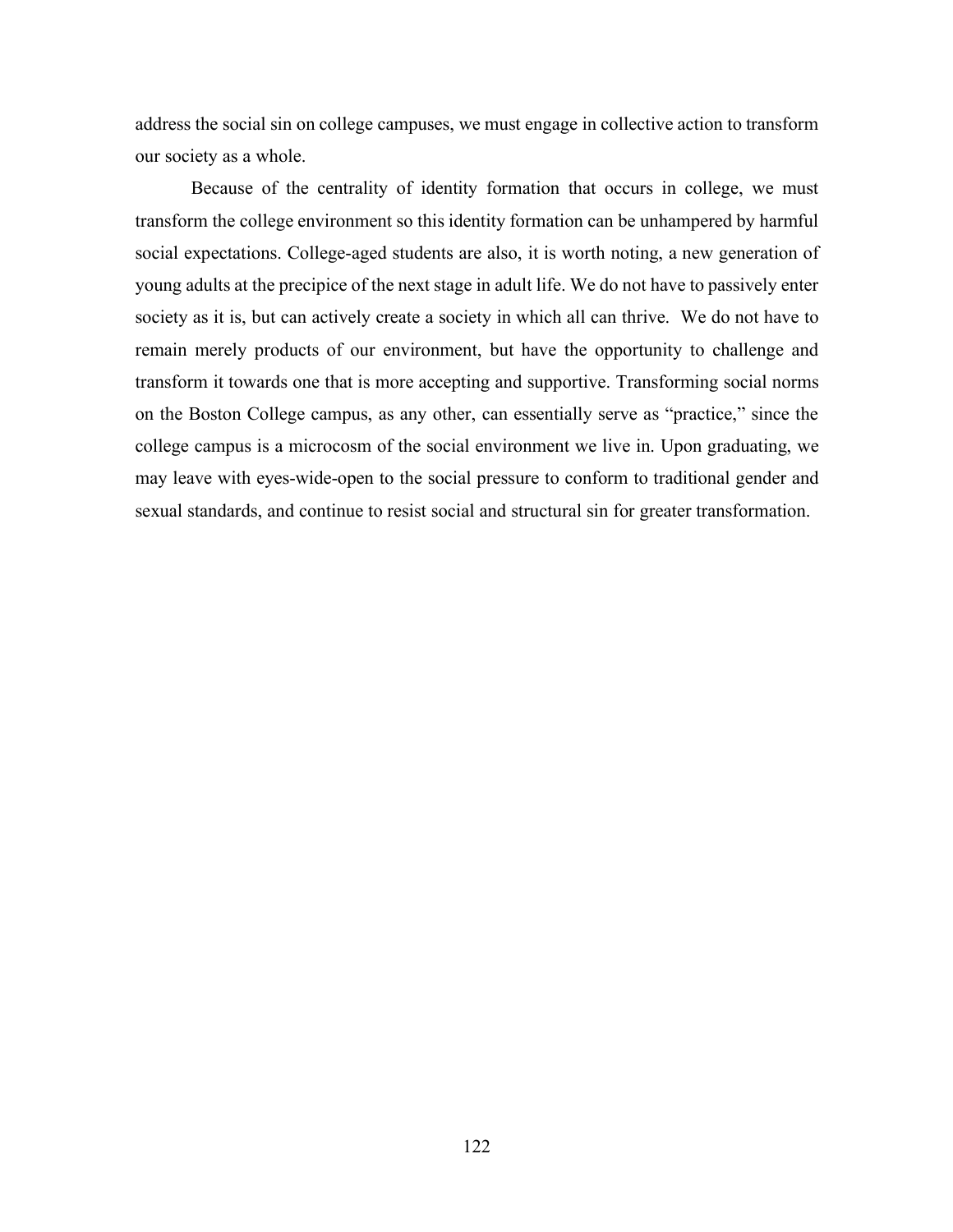address the social sin on college campuses, we must engage in collective action to transform our society as a whole.

Because of the centrality of identity formation that occurs in college, we must transform the college environment so this identity formation can be unhampered by harmful social expectations. College-aged students are also, it is worth noting, a new generation of young adults at the precipice of the next stage in adult life. We do not have to passively enter society as it is, but can actively create a society in which all can thrive. We do not have to remain merely products of our environment, but have the opportunity to challenge and transform it towards one that is more accepting and supportive. Transforming social norms on the Boston College campus, as any other, can essentially serve as "practice," since the college campus is a microcosm of the social environment we live in. Upon graduating, we may leave with eyes-wide-open to the social pressure to conform to traditional gender and sexual standards, and continue to resist social and structural sin for greater transformation.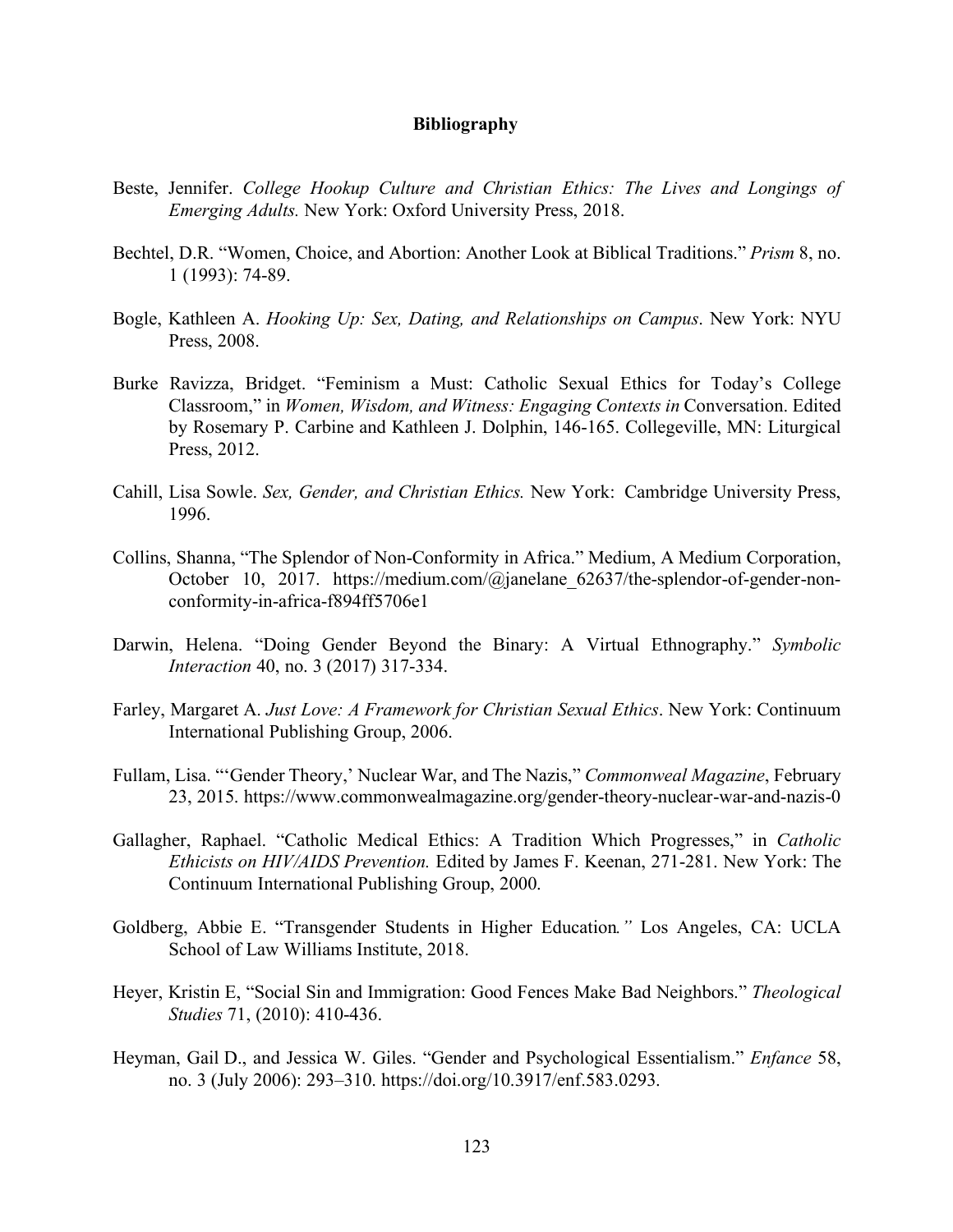## **Bibliography**

- Beste, Jennifer. *College Hookup Culture and Christian Ethics: The Lives and Longings of Emerging Adults.* New York: Oxford University Press, 2018.
- Bechtel, D.R. "Women, Choice, and Abortion: Another Look at Biblical Traditions." *Prism* 8, no. 1 (1993): 74-89.
- Bogle, Kathleen A. *Hooking Up: Sex, Dating, and Relationships on Campus*. New York: NYU Press, 2008.
- Burke Ravizza, Bridget. "Feminism a Must: Catholic Sexual Ethics for Today's College Classroom," in *Women, Wisdom, and Witness: Engaging Contexts in* Conversation. Edited by Rosemary P. Carbine and Kathleen J. Dolphin, 146-165. Collegeville, MN: Liturgical Press, 2012.
- Cahill, Lisa Sowle. *Sex, Gender, and Christian Ethics.* New York: Cambridge University Press, 1996.
- Collins, Shanna, "The Splendor of Non-Conformity in Africa." Medium, A Medium Corporation, October 10, 2017. https://medium.com/@janelane 62637/the-splendor-of-gender-nonconformity-in-africa-f894ff5706e1
- Darwin, Helena. "Doing Gender Beyond the Binary: A Virtual Ethnography." *Symbolic Interaction* 40, no. 3 (2017) 317-334.
- Farley, Margaret A. *Just Love: A Framework for Christian Sexual Ethics*. New York: Continuum International Publishing Group, 2006.
- Fullam, Lisa. "'Gender Theory,' Nuclear War, and The Nazis," *Commonweal Magazine*, February 23, 2015. https://www.commonwealmagazine.org/gender-theory-nuclear-war-and-nazis-0
- Gallagher, Raphael. "Catholic Medical Ethics: A Tradition Which Progresses," in *Catholic Ethicists on HIV/AIDS Prevention.* Edited by James F. Keenan, 271-281. New York: The Continuum International Publishing Group, 2000.
- Goldberg, Abbie E. "Transgender Students in Higher Education*."* Los Angeles, CA: UCLA School of Law Williams Institute, 2018.
- Heyer, Kristin E, "Social Sin and Immigration: Good Fences Make Bad Neighbors." *Theological Studies* 71, (2010): 410-436.
- Heyman, Gail D., and Jessica W. Giles. "Gender and Psychological Essentialism." *Enfance* 58, no. 3 (July 2006): 293–310. https://doi.org/10.3917/enf.583.0293.